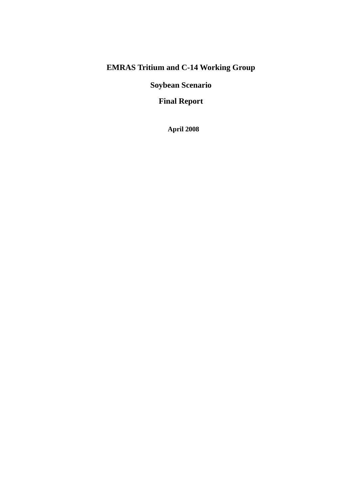# **EMRAS Tritium and C-14 Working Group**

**Soybean Scenario** 

**Final Report** 

 **April 2008**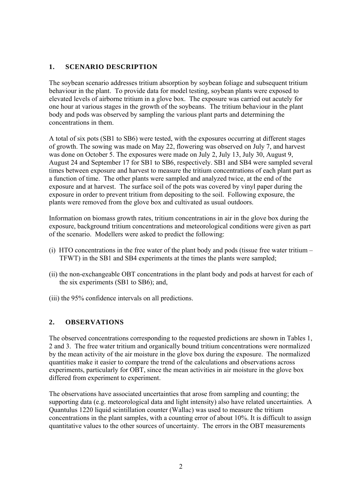### **1. SCENARIO DESCRIPTION**

The soybean scenario addresses tritium absorption by soybean foliage and subsequent tritium behaviour in the plant. To provide data for model testing, soybean plants were exposed to elevated levels of airborne tritium in a glove box. The exposure was carried out acutely for one hour at various stages in the growth of the soybeans. The tritium behaviour in the plant body and pods was observed by sampling the various plant parts and determining the concentrations in them.

A total of six pots (SB1 to SB6) were tested, with the exposures occurring at different stages of growth. The sowing was made on May 22, flowering was observed on July 7, and harvest was done on October 5. The exposures were made on July 2, July 13, July 30, August 9, August 24 and September 17 for SB1 to SB6, respectively. SB1 and SB4 were sampled several times between exposure and harvest to measure the tritium concentrations of each plant part as a function of time. The other plants were sampled and analyzed twice, at the end of the exposure and at harvest. The surface soil of the pots was covered by vinyl paper during the exposure in order to prevent tritium from depositing to the soil. Following exposure, the plants were removed from the glove box and cultivated as usual outdoors.

Information on biomass growth rates, tritium concentrations in air in the glove box during the exposure, background tritium concentrations and meteorological conditions were given as part of the scenario. Modellers were asked to predict the following:

- (i) HTO concentrations in the free water of the plant body and pods (tissue free water tritium TFWT) in the SB1 and SB4 experiments at the times the plants were sampled;
- (ii) the non-exchangeable OBT concentrations in the plant body and pods at harvest for each of the six experiments (SB1 to SB6); and,
- (iii) the 95% confidence intervals on all predictions.

### **2. OBSERVATIONS**

The observed concentrations corresponding to the requested predictions are shown in Tables 1, 2 and 3. The free water tritium and organically bound tritium concentrations were normalized by the mean activity of the air moisture in the glove box during the exposure. The normalized quantities make it easier to compare the trend of the calculations and observations across experiments, particularly for OBT, since the mean activities in air moisture in the glove box differed from experiment to experiment.

The observations have associated uncertainties that arose from sampling and counting; the supporting data (e.g. meteorological data and light intensity) also have related uncertainties. A Quantulus 1220 liquid scintillation counter (Wallac) was used to measure the tritium concentrations in the plant samples, with a counting error of about 10%. It is difficult to assign quantitative values to the other sources of uncertainty. The errors in the OBT measurements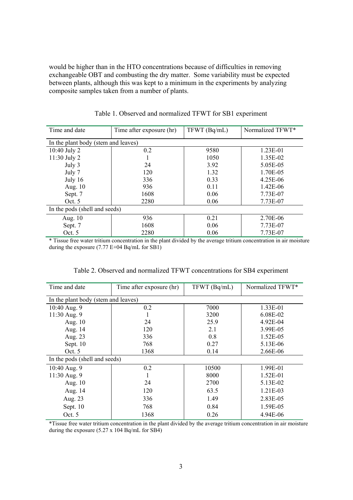would be higher than in the HTO concentrations because of difficulties in removing exchangeable OBT and combusting the dry matter. Some variability must be expected between plants, although this was kept to a minimum in the experiments by analyzing composite samples taken from a number of plants.

| Time and date                 | Time after exposure (hr)            | TFWT(Bq/mL) | Normalized TFWT* |  |  |  |  |  |  |  |
|-------------------------------|-------------------------------------|-------------|------------------|--|--|--|--|--|--|--|
|                               | In the plant body (stem and leaves) |             |                  |  |  |  |  |  |  |  |
| $10:40$ July 2                | 0.2                                 | 9580        | $1.23E-01$       |  |  |  |  |  |  |  |
| 11:30 July 2                  |                                     | 1050        | 1.35E-02         |  |  |  |  |  |  |  |
| July 3                        | 24                                  | 3.92        | 5.05E-05         |  |  |  |  |  |  |  |
| July 7                        | 120                                 | 1.32        | 1.70E-05         |  |  |  |  |  |  |  |
| July 16                       | 336                                 | 0.33        | 4.25E-06         |  |  |  |  |  |  |  |
| Aug. 10                       | 936                                 | 0.11        | 1.42E-06         |  |  |  |  |  |  |  |
| Sept. 7                       | 1608                                | 0.06        | 7.73E-07         |  |  |  |  |  |  |  |
| Oct. $5$                      | 2280                                | 0.06        | 7.73E-07         |  |  |  |  |  |  |  |
| In the pods (shell and seeds) |                                     |             |                  |  |  |  |  |  |  |  |
| Aug. $10$                     | 936                                 | 0.21        | 2.70E-06         |  |  |  |  |  |  |  |
| Sept. 7                       | 1608                                | 0.06        | 7.73E-07         |  |  |  |  |  |  |  |
| Oct. $5$                      | 2280                                | 0.06        | 7.73E-07         |  |  |  |  |  |  |  |

Table 1. Observed and normalized TFWT for SB1 experiment

\* Tissue free water tritium concentration in the plant divided by the average tritium concentration in air moisture during the exposure (7.77 E+04 Bq/mL for SB1)

| Time and date                       | Time after exposure (hr) | TFWT (Bq/mL) | Normalized TFWT* |
|-------------------------------------|--------------------------|--------------|------------------|
| In the plant body (stem and leaves) |                          |              |                  |
| 10:40 Aug. 9                        | 0.2                      | 7000         | 1.33E-01         |
| 11:30 Aug. 9                        |                          | 3200         | 6.08E-02         |
| Aug. $10$                           | 24                       | 25.9         | 4.92E-04         |
| Aug. 14                             | 120                      | 2.1          | 3.99E-05         |
| Aug. 23                             | 336                      | 0.8          | 1.52E-05         |
| Sept. 10                            | 768                      | 0.27         | 5.13E-06         |
| Oct.5                               | 1368                     | 0.14         | 2.66E-06         |
| In the pods (shell and seeds)       |                          |              |                  |
| 10:40 Aug. 9                        | 0.2                      | 10500        | 1.99E-01         |
| 11:30 Aug. 9                        |                          | 8000         | 1.52E-01         |
| Aug. $10$                           | 24                       | 2700         | 5.13E-02         |
| Aug. 14                             | 120                      | 63.5         | 1.21E-03         |
| Aug. 23                             | 336                      | 1.49         | 2.83E-05         |
| Sept. 10                            | 768                      | 0.84         | 1.59E-05         |
| Oct. $5$                            | 1368                     | 0.26         | 4.94E-06         |

Table 2. Observed and normalized TFWT concentrations for SB4 experiment

\*Tissue free water tritium concentration in the plant divided by the average tritium concentration in air moisture during the exposure (5.27 x 104 Bq/mL for SB4)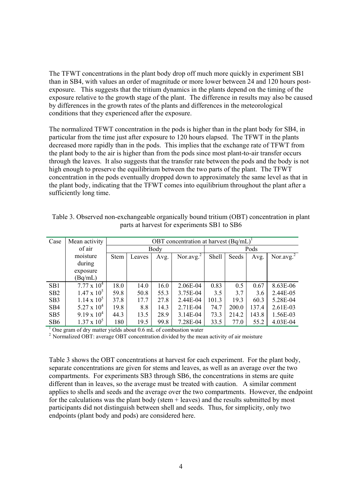The TFWT concentrations in the plant body drop off much more quickly in experiment SB1 than in SB4, with values an order of magnitude or more lower between 24 and 120 hours postexposure. This suggests that the tritium dynamics in the plants depend on the timing of the exposure relative to the growth stage of the plant. The difference in results may also be caused by differences in the growth rates of the plants and differences in the meteorological conditions that they experienced after the exposure.

The normalized TFWT concentration in the pods is higher than in the plant body for SB4, in particular from the time just after exposure to 120 hours elapsed. The TFWT in the plants decreased more rapidly than in the pods. This implies that the exchange rate of TFWT from the plant body to the air is higher than from the pods since most plant-to-air transfer occurs through the leaves. It also suggests that the transfer rate between the pods and the body is not high enough to preserve the equilibrium between the two parts of the plant. The TFWT concentration in the pods eventually dropped down to approximately the same level as that in the plant body, indicating that the TFWT comes into equilibrium throughout the plant after a sufficiently long time.

| Case            | Mean activity        |             |        |      | OBT concentration at harvest $(Bq/mL)^T$ |       |       |       |                 |
|-----------------|----------------------|-------------|--------|------|------------------------------------------|-------|-------|-------|-----------------|
|                 | of air               |             |        | Body |                                          |       | Pods  |       |                 |
|                 | moisture             | <b>Stem</b> | Leaves | Avg. | Nor.avg. $^{2}$                          | Shell | Seeds | Avg.  | Nor.avg. $^{2}$ |
|                 | during               |             |        |      |                                          |       |       |       |                 |
|                 | exposure             |             |        |      |                                          |       |       |       |                 |
|                 | (Bq/mL)              |             |        |      |                                          |       |       |       |                 |
| SB1             | $7.77 \times 10^4$   | 18.0        | 14.0   | 16.0 | 2.06E-04                                 | 0.83  | 0.5   | 0.67  | 8.63E-06        |
| SB <sub>2</sub> | $1.47 \times 10^{5}$ | 59.8        | 50.8   | 55.3 | 3.75E-04                                 | 3.5   | 3.7   | 3.6   | 2.44E-05        |
| SB <sub>3</sub> | $1.14 \times 10^{5}$ | 37.8        | 17.7   | 27.8 | 2.44E-04                                 | 101.3 | 19.3  | 60.3  | 5.28E-04        |
| SB4             | $5.27 \times 10^4$   | 19.8        | 8.8    | 14.3 | 2.71E-04                                 | 74.7  | 200.0 | 137.4 | 2.61E-03        |
| SB <sub>5</sub> | $9.19 \times 10^{4}$ | 44.3        | 13.5   | 28.9 | 3.14E-04                                 | 73.3  | 214.2 | 143.8 | 1.56E-03        |
| SB <sub>6</sub> | $1.37 \times 10^{5}$ | 180         | 19.5   | 99.8 | 7.28E-04                                 | 33.5  | 77.0  | 55.2  | 4.03E-04        |

Table 3. Observed non-exchangeable organically bound tritium (OBT) concentration in plant parts at harvest for experiments SB1 to SB6

<sup>1</sup> One gram of dry matter yields about 0.6 mL of combustion water

<sup>2</sup> Normalized OBT: average OBT concentration divided by the mean activity of air moisture

Table 3 shows the OBT concentrations at harvest for each experiment. For the plant body, separate concentrations are given for stems and leaves, as well as an average over the two compartments. For experiments SB3 through SB6, the concentrations in stems are quite different than in leaves, so the average must be treated with caution. A similar comment applies to shells and seeds and the average over the two compartments. However, the endpoint for the calculations was the plant body (stem  $+$  leaves) and the results submitted by most participants did not distinguish between shell and seeds. Thus, for simplicity, only two endpoints (plant body and pods) are considered here.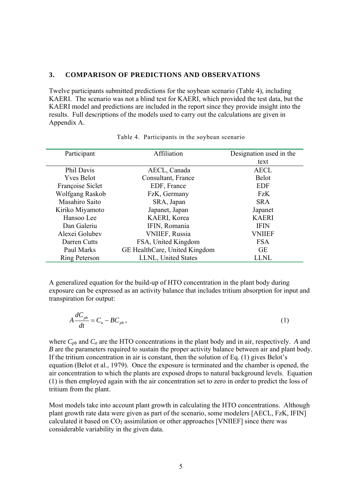#### **3. COMPARISON OF PREDICTIONS AND OBSERVATIONS**

Twelve participants submitted predictions for the soybean scenario (Table 4), including KAERI. The scenario was not a blind test for KAERI, which provided the test data, but the KAERI model and predictions are included in the report since they provide insight into the results. Full descriptions of the models used to carry out the calculations are given in Appendix A.

| Participant          | Affiliation                   | Designation used in the |
|----------------------|-------------------------------|-------------------------|
|                      |                               | text                    |
| Phil Davis           | AECL, Canada                  | <b>AECL</b>             |
| <b>Yves Belot</b>    | Consultant, France            | <b>Belot</b>            |
| Françoise Siclet     | EDF, France                   | <b>EDF</b>              |
| Wolfgang Raskob      | FzK, Germany                  | FzK                     |
| Masahiro Saito       | SRA, Japan                    | <b>SRA</b>              |
| Kiriko Miyamoto      | Japanet, Japan                | Japanet                 |
| Hansoo Lee           | KAERI, Korea                  | <b>KAERI</b>            |
| Dan Galeriu          | IFIN, Romania                 | <b>IFIN</b>             |
| Alexei Golubev       | <b>VNIIEF, Russia</b>         | <b>VNIIEF</b>           |
| Darren Cutts         | FSA, United Kingdom           | <b>FSA</b>              |
| Paul Marks           | GE HealthCare, United Kingdom | <b>GE</b>               |
| <b>Ring Peterson</b> | LLNL, United States           | <b>LLNL</b>             |

#### Table 4. Participants in the soybean scenario

A generalized equation for the build-up of HTO concentration in the plant body during exposure can be expressed as an activity balance that includes tritium absorption for input and transpiration for output:

$$
A\frac{dC_{pb}}{dt} = C_a - BC_{pb} \,,\tag{1}
$$

where  $C_{pb}$  and  $C_a$  are the HTO concentrations in the plant body and in air, respectively. *A* and *B* are the parameters required to sustain the proper activity balance between air and plant body. If the tritium concentration in air is constant, then the solution of Eq. (1) gives Belot's equation (Belot et al., 1979). Once the exposure is terminated and the chamber is opened, the air concentration to which the plants are exposed drops to natural background levels. Equation (1) is then employed again with the air concentration set to zero in order to predict the loss of tritium from the plant.

Most models take into account plant growth in calculating the HTO concentrations. Although plant growth rate data were given as part of the scenario, some modelers [AECL, FzK, IFIN] calculated it based on  $CO<sub>2</sub>$  assimilation or other approaches [VNIIEF] since there was considerable variability in the given data.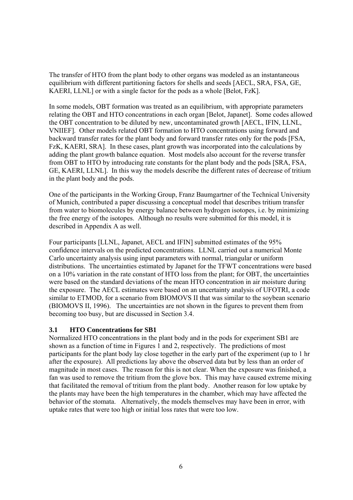The transfer of HTO from the plant body to other organs was modeled as an instantaneous equilibrium with different partitioning factors for shells and seeds [AECL, SRA, FSA, GE, KAERI, LLNL] or with a single factor for the pods as a whole [Belot, FzK].

In some models, OBT formation was treated as an equilibrium, with appropriate parameters relating the OBT and HTO concentrations in each organ [Belot, Japanet]. Some codes allowed the OBT concentration to be diluted by new, uncontaminated growth [AECL, IFIN, LLNL, VNIIEF]. Other models related OBT formation to HTO concentrations using forward and backward transfer rates for the plant body and forward transfer rates only for the pods [FSA, FzK, KAERI, SRA]. In these cases, plant growth was incorporated into the calculations by adding the plant growth balance equation. Most models also account for the reverse transfer from OBT to HTO by introducing rate constants for the plant body and the pods [SRA, FSA, GE, KAERI, LLNL]. In this way the models describe the different rates of decrease of tritium in the plant body and the pods.

One of the participants in the Working Group, Franz Baumgartner of the Technical University of Munich, contributed a paper discussing a conceptual model that describes tritium transfer from water to biomolecules by energy balance between hydrogen isotopes, i.e. by minimizing the free energy of the isotopes. Although no results were submitted for this model, it is described in Appendix A as well.

Four participants [LLNL, Japanet, AECL and IFIN] submitted estimates of the 95% confidence intervals on the predicted concentrations. LLNL carried out a numerical Monte Carlo uncertainty analysis using input parameters with normal, triangular or uniform distributions. The uncertainties estimated by Japanet for the TFWT concentrations were based on a 10% variation in the rate constant of HTO loss from the plant; for OBT, the uncertainties were based on the standard deviations of the mean HTO concentration in air moisture during the exposure. The AECL estimates were based on an uncertainty analysis of UFOTRI, a code similar to ETMOD, for a scenario from BIOMOVS II that was similar to the soybean scenario (BIOMOVS II, 1996). The uncertainties are not shown in the figures to prevent them from becoming too busy, but are discussed in Section 3.4.

### **3.1 HTO Concentrations for SB1**

Normalized HTO concentrations in the plant body and in the pods for experiment SB1 are shown as a function of time in Figures 1 and 2, respectively. The predictions of most participants for the plant body lay close together in the early part of the experiment (up to 1 hr after the exposure). All predictions lay above the observed data but by less than an order of magnitude in most cases. The reason for this is not clear. When the exposure was finished, a fan was used to remove the tritium from the glove box. This may have caused extreme mixing that facilitated the removal of tritium from the plant body. Another reason for low uptake by the plants may have been the high temperatures in the chamber, which may have affected the behavior of the stomata. Alternatively, the models themselves may have been in error, with uptake rates that were too high or initial loss rates that were too low.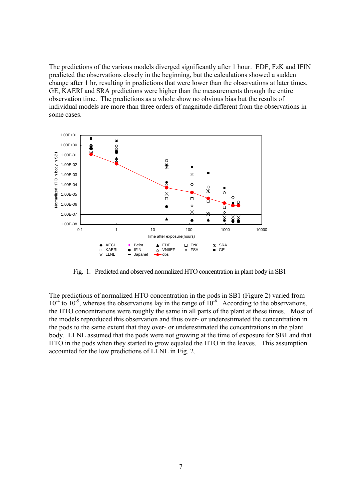The predictions of the various models diverged significantly after 1 hour. EDF, FzK and IFIN predicted the observations closely in the beginning, but the calculations showed a sudden change after 1 hr, resulting in predictions that were lower than the observations at later times. GE, KAERI and SRA predictions were higher than the measurements through the entire observation time. The predictions as a whole show no obvious bias but the results of individual models are more than three orders of magnitude different from the observations in some cases.



Fig. 1. Predicted and observed normalized HTO concentration in plant body in SB1

The predictions of normalized HTO concentration in the pods in SB1 (Figure 2) varied from  $10^{-4}$  to  $10^{-9}$ , whereas the observations lay in the range of  $10^{-6}$ . According to the observations, the HTO concentrations were roughly the same in all parts of the plant at these times. Most of the models reproduced this observation and thus over- or underestimated the concentration in the pods to the same extent that they over- or underestimated the concentrations in the plant body. LLNL assumed that the pods were not growing at the time of exposure for SB1 and that HTO in the pods when they started to grow equaled the HTO in the leaves. This assumption accounted for the low predictions of LLNL in Fig. 2.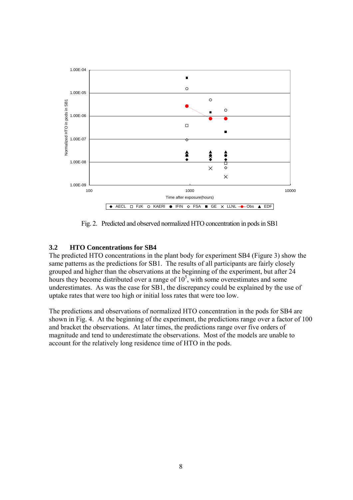

Fig. 2. Predicted and observed normalized HTO concentration in pods in SB1

### **3.2 HTO Concentrations for SB4**

The predicted HTO concentrations in the plant body for experiment SB4 (Figure 3) show the same patterns as the predictions for SB1. The results of all participants are fairly closely grouped and higher than the observations at the beginning of the experiment, but after 24 hours they become distributed over a range of  $10<sup>5</sup>$ , with some overestimates and some underestimates. As was the case for SB1, the discrepancy could be explained by the use of uptake rates that were too high or initial loss rates that were too low.

The predictions and observations of normalized HTO concentration in the pods for SB4 are shown in Fig. 4. At the beginning of the experiment, the predictions range over a factor of 100 and bracket the observations. At later times, the predictions range over five orders of magnitude and tend to underestimate the observations. Most of the models are unable to account for the relatively long residence time of HTO in the pods.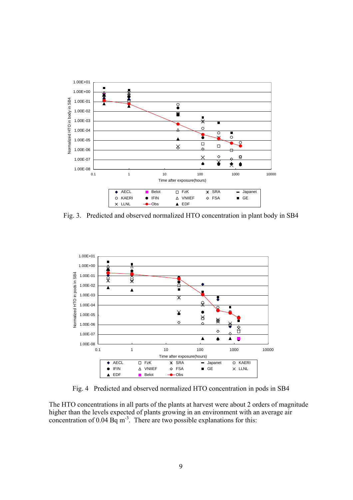

Fig. 3. Predicted and observed normalized HTO concentration in plant body in SB4



Fig. 4 Predicted and observed normalized HTO concentration in pods in SB4

The HTO concentrations in all parts of the plants at harvest were about 2 orders of magnitude higher than the levels expected of plants growing in an environment with an average air concentration of 0.04 Bq m<sup>-3</sup>. There are two possible explanations for this: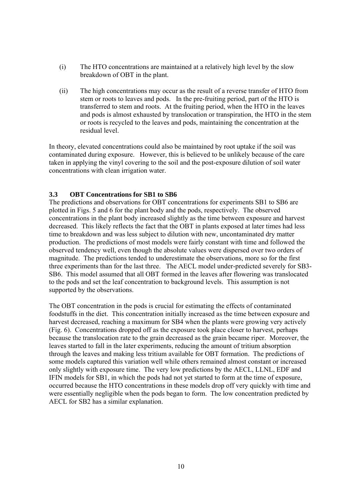- (i) The HTO concentrations are maintained at a relatively high level by the slow breakdown of OBT in the plant.
- (ii) The high concentrations may occur as the result of a reverse transfer of HTO from stem or roots to leaves and pods. In the pre-fruiting period, part of the HTO is transferred to stem and roots. At the fruiting period, when the HTO in the leaves and pods is almost exhausted by translocation or transpiration, the HTO in the stem or roots is recycled to the leaves and pods, maintaining the concentration at the residual level.

In theory, elevated concentrations could also be maintained by root uptake if the soil was contaminated during exposure. However, this is believed to be unlikely because of the care taken in applying the vinyl covering to the soil and the post-exposure dilution of soil water concentrations with clean irrigation water.

### **3.3 OBT Concentrations for SB1 to SB6**

The predictions and observations for OBT concentrations for experiments SB1 to SB6 are plotted in Figs. 5 and 6 for the plant body and the pods, respectively. The observed concentrations in the plant body increased slightly as the time between exposure and harvest decreased. This likely reflects the fact that the OBT in plants exposed at later times had less time to breakdown and was less subject to dilution with new, uncontaminated dry matter production. The predictions of most models were fairly constant with time and followed the observed tendency well, even though the absolute values were dispersed over two orders of magnitude. The predictions tended to underestimate the observations, more so for the first three experiments than for the last three. The AECL model under-predicted severely for SB3- SB6. This model assumed that all OBT formed in the leaves after flowering was translocated to the pods and set the leaf concentration to background levels. This assumption is not supported by the observations.

The OBT concentration in the pods is crucial for estimating the effects of contaminated foodstuffs in the diet. This concentration initially increased as the time between exposure and harvest decreased, reaching a maximum for SB4 when the plants were growing very actively (Fig. 6). Concentrations dropped off as the exposure took place closer to harvest, perhaps because the translocation rate to the grain decreased as the grain became riper. Moreover, the leaves started to fall in the later experiments, reducing the amount of tritium absorption through the leaves and making less tritium available for OBT formation. The predictions of some models captured this variation well while others remained almost constant or increased only slightly with exposure time. The very low predictions by the AECL, LLNL, EDF and IFIN models for SB1, in which the pods had not yet started to form at the time of exposure, occurred because the HTO concentrations in these models drop off very quickly with time and were essentially negligible when the pods began to form. The low concentration predicted by AECL for SB2 has a similar explanation.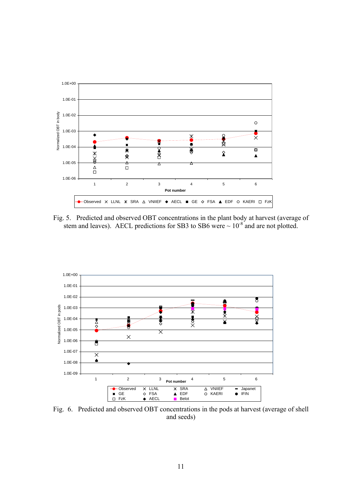

Fig. 5. Predicted and observed OBT concentrations in the plant body at harvest (average of stem and leaves). AECL predictions for SB3 to SB6 were  $\sim 10^{-8}$  and are not plotted.



Fig. 6. Predicted and observed OBT concentrations in the pods at harvest (average of shell and seeds)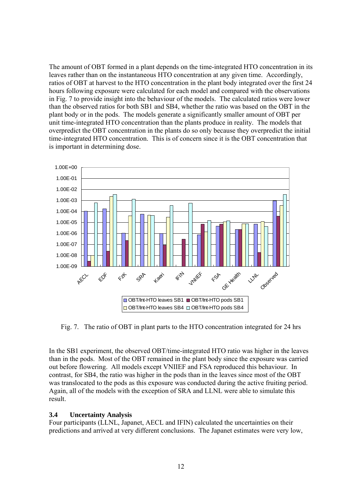The amount of OBT formed in a plant depends on the time-integrated HTO concentration in its leaves rather than on the instantaneous HTO concentration at any given time. Accordingly, ratios of OBT at harvest to the HTO concentration in the plant body integrated over the first 24 hours following exposure were calculated for each model and compared with the observations in Fig. 7 to provide insight into the behaviour of the models. The calculated ratios were lower than the observed ratios for both SB1 and SB4, whether the ratio was based on the OBT in the plant body or in the pods. The models generate a significantly smaller amount of OBT per unit time-integrated HTO concentration than the plants produce in reality. The models that overpredict the OBT concentration in the plants do so only because they overpredict the initial time-integrated HTO concentration. This is of concern since it is the OBT concentration that is important in determining dose.



Fig. 7. The ratio of OBT in plant parts to the HTO concentration integrated for 24 hrs

In the SB1 experiment, the observed OBT/time-integrated HTO ratio was higher in the leaves than in the pods. Most of the OBT remained in the plant body since the exposure was carried out before flowering. All models except VNIIEF and FSA reproduced this behaviour. In contrast, for SB4, the ratio was higher in the pods than in the leaves since most of the OBT was translocated to the pods as this exposure was conducted during the active fruiting period. Again, all of the models with the exception of SRA and LLNL were able to simulate this result.

### **3.4 Uncertainty Analysis**

Four participants (LLNL, Japanet, AECL and IFIN) calculated the uncertainties on their predictions and arrived at very different conclusions. The Japanet estimates were very low,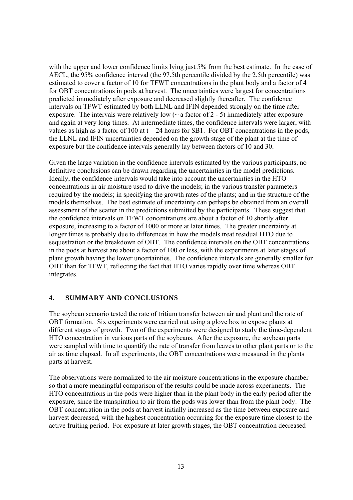with the upper and lower confidence limits lying just 5% from the best estimate. In the case of AECL, the 95% confidence interval (the 97.5th percentile divided by the 2.5th percentile) was estimated to cover a factor of 10 for TFWT concentrations in the plant body and a factor of 4 for OBT concentrations in pods at harvest. The uncertainties were largest for concentrations predicted immediately after exposure and decreased slightly thereafter. The confidence intervals on TFWT estimated by both LLNL and IFIN depended strongly on the time after exposure. The intervals were relatively low  $(\sim a$  factor of 2 - 5) immediately after exposure and again at very long times. At intermediate times, the confidence intervals were larger, with values as high as a factor of 100 at  $t = 24$  hours for SB1. For OBT concentrations in the pods, the LLNL and IFIN uncertainties depended on the growth stage of the plant at the time of exposure but the confidence intervals generally lay between factors of 10 and 30.

Given the large variation in the confidence intervals estimated by the various participants, no definitive conclusions can be drawn regarding the uncertainties in the model predictions. Ideally, the confidence intervals would take into account the uncertainties in the HTO concentrations in air moisture used to drive the models; in the various transfer parameters required by the models; in specifying the growth rates of the plants; and in the structure of the models themselves. The best estimate of uncertainty can perhaps be obtained from an overall assessment of the scatter in the predictions submitted by the participants. These suggest that the confidence intervals on TFWT concentrations are about a factor of 10 shortly after exposure, increasing to a factor of 1000 or more at later times. The greater uncertainty at longer times is probably due to differences in how the models treat residual HTO due to sequestration or the breakdown of OBT. The confidence intervals on the OBT concentrations in the pods at harvest are about a factor of 100 or less, with the experiments at later stages of plant growth having the lower uncertainties. The confidence intervals are generally smaller for OBT than for TFWT, reflecting the fact that HTO varies rapidly over time whereas OBT integrates.

### **4. SUMMARY AND CONCLUSIONS**

The soybean scenario tested the rate of tritium transfer between air and plant and the rate of OBT formation. Six experiments were carried out using a glove box to expose plants at different stages of growth. Two of the experiments were designed to study the time-dependent HTO concentration in various parts of the soybeans. After the exposure, the soybean parts were sampled with time to quantify the rate of transfer from leaves to other plant parts or to the air as time elapsed. In all experiments, the OBT concentrations were measured in the plants parts at harvest.

The observations were normalized to the air moisture concentrations in the exposure chamber so that a more meaningful comparison of the results could be made across experiments. The HTO concentrations in the pods were higher than in the plant body in the early period after the exposure, since the transpiration to air from the pods was lower than from the plant body. The OBT concentration in the pods at harvest initially increased as the time between exposure and harvest decreased, with the highest concentration occurring for the exposure time closest to the active fruiting period. For exposure at later growth stages, the OBT concentration decreased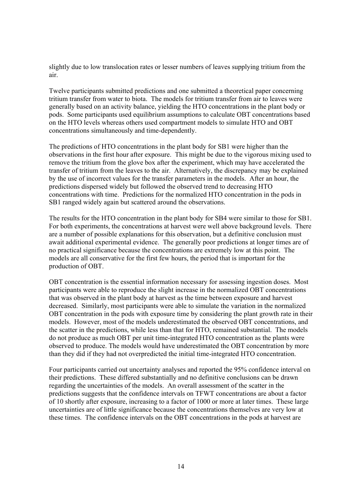slightly due to low translocation rates or lesser numbers of leaves supplying tritium from the air.

Twelve participants submitted predictions and one submitted a theoretical paper concerning tritium transfer from water to biota. The models for tritium transfer from air to leaves were generally based on an activity balance, yielding the HTO concentrations in the plant body or pods. Some participants used equilibrium assumptions to calculate OBT concentrations based on the HTO levels whereas others used compartment models to simulate HTO and OBT concentrations simultaneously and time-dependently.

The predictions of HTO concentrations in the plant body for SB1 were higher than the observations in the first hour after exposure. This might be due to the vigorous mixing used to remove the tritium from the glove box after the experiment, which may have accelerated the transfer of tritium from the leaves to the air. Alternatively, the discrepancy may be explained by the use of incorrect values for the transfer parameters in the models. After an hour, the predictions dispersed widely but followed the observed trend to decreasing HTO concentrations with time. Predictions for the normalized HTO concentration in the pods in SB1 ranged widely again but scattered around the observations.

The results for the HTO concentration in the plant body for SB4 were similar to those for SB1. For both experiments, the concentrations at harvest were well above background levels. There are a number of possible explanations for this observation, but a definitive conclusion must await additional experimental evidence. The generally poor predictions at longer times are of no practical significance because the concentrations are extremely low at this point. The models are all conservative for the first few hours, the period that is important for the production of OBT.

OBT concentration is the essential information necessary for assessing ingestion doses. Most participants were able to reproduce the slight increase in the normalized OBT concentrations that was observed in the plant body at harvest as the time between exposure and harvest decreased. Similarly, most participants were able to simulate the variation in the normalized OBT concentration in the pods with exposure time by considering the plant growth rate in their models. However, most of the models underestimated the observed OBT concentrations, and the scatter in the predictions, while less than that for HTO, remained substantial. The models do not produce as much OBT per unit time-integrated HTO concentration as the plants were observed to produce. The models would have underestimated the OBT concentration by more than they did if they had not overpredicted the initial time-integrated HTO concentration.

Four participants carried out uncertainty analyses and reported the 95% confidence interval on their predictions. These differed substantially and no definitive conclusions can be drawn regarding the uncertainties of the models. An overall assessment of the scatter in the predictions suggests that the confidence intervals on TFWT concentrations are about a factor of 10 shortly after exposure, increasing to a factor of 1000 or more at later times. These large uncertainties are of little significance because the concentrations themselves are very low at these times. The confidence intervals on the OBT concentrations in the pods at harvest are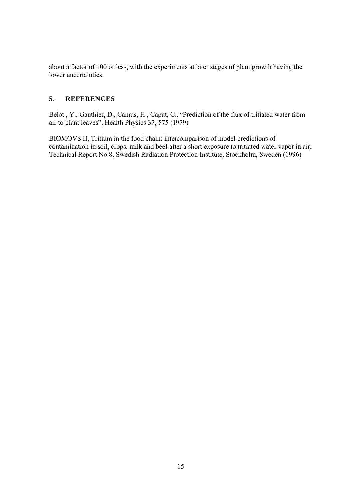about a factor of 100 or less, with the experiments at later stages of plant growth having the lower uncertainties.

### **5. REFERENCES**

Belot , Y., Gauthier, D., Camus, H., Caput, C., "Prediction of the flux of tritiated water from air to plant leaves", Health Physics 37, 575 (1979)

BIOMOVS II, Tritium in the food chain: intercomparison of model predictions of contamination in soil, crops, milk and beef after a short exposure to tritiated water vapor in air, Technical Report No.8, Swedish Radiation Protection Institute, Stockholm, Sweden (1996)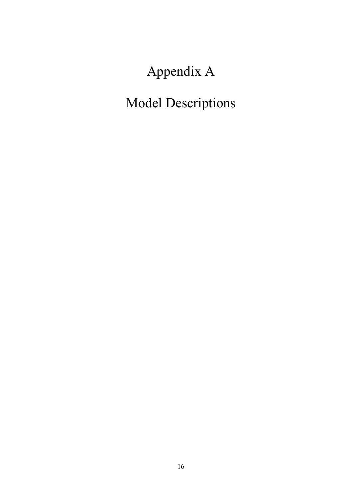Appendix A

Model Descriptions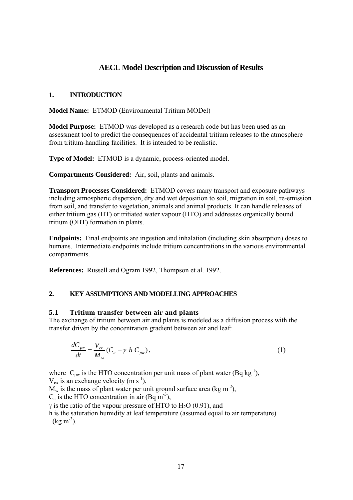# **AECL Model Description and Discussion of Results**

### **1. INTRODUCTION**

**Model Name:** ETMOD (Environmental Tritium MODel)

**Model Purpose:** ETMOD was developed as a research code but has been used as an assessment tool to predict the consequences of accidental tritium releases to the atmosphere from tritium-handling facilities. It is intended to be realistic.

**Type of Model:** ETMOD is a dynamic, process-oriented model.

**Compartments Considered:** Air, soil, plants and animals.

**Transport Processes Considered:** ETMOD covers many transport and exposure pathways including atmospheric dispersion, dry and wet deposition to soil, migration in soil, re-emission from soil, and transfer to vegetation, animals and animal products. It can handle releases of either tritium gas (HT) or tritiated water vapour (HTO) and addresses organically bound tritium (OBT) formation in plants.

**Endpoints:** Final endpoints are ingestion and inhalation (including skin absorption) doses to humans. Intermediate endpoints include tritium concentrations in the various environmental compartments.

**References:** Russell and Ogram 1992, Thompson et al. 1992.

### **2. KEY ASSUMPTIONS AND MODELLING APPROACHES**

### **5.1 Tritium transfer between air and plants**

The exchange of tritium between air and plants is modeled as a diffusion process with the transfer driven by the concentration gradient between air and leaf:

$$
\frac{dC_{\scriptscriptstyle{pw}}}{dt} = \frac{V_{\scriptscriptstyle{ex}}}{M_{\scriptscriptstyle{w}}}(C_a - \gamma \ h \ C_{\scriptscriptstyle{pw}}),\tag{1}
$$

where  $C_{pw}$  is the HTO concentration per unit mass of plant water (Bq kg<sup>-1</sup>).  $V_{ex}$  is an exchange velocity (m s<sup>-1</sup>),

 $M_w$  is the mass of plant water per unit ground surface area (kg m<sup>-2</sup>),

 $C_a$  is the HTO concentration in air (Bq m<sup>-3</sup>),

 $\gamma$  is the ratio of the vapour pressure of HTO to H<sub>2</sub>O (0.91), and

h is the saturation humidity at leaf temperature (assumed equal to air temperature)  $(kg m<sup>-3</sup>)$ .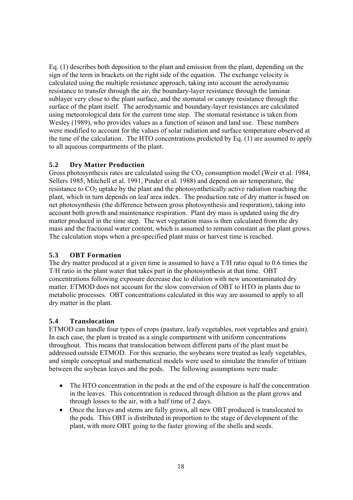Eq. (1) describes both deposition to the plant and emission from the plant, depending on the sign of the term in brackets on the right side of the equation. The exchange velocity is calculated using the multiple resistance approach, taking into account the aerodynamic resistance to transfer through the air, the boundary-layer resistance through the laminar sublayer very close to the plant surface, and the stomatal or canopy resistance through the surface of the plant itself. The aerodynamic and boundary-layer resistances are calculated using meteorological data for the current time step. The stomatal resistance is taken from Wesley (1989), who provides values as a function of season and land use. These numbers were modified to account for the values of solar radiation and surface temperature observed at the time of the calculation. The HTO concentrations predicted by Eq. (1) are assumed to apply to all aqueous compartments of the plant.

### **5.2 Dry Matter Production**

Gross photosynthesis rates are calculated using the  $CO<sub>2</sub>$  consumption model (Weir et al. 1984, Sellers 1985, Mitchell et al. 1991, Pinder et al. 1988) and depend on air temperature, the resistance to  $CO<sub>2</sub>$  uptake by the plant and the photosynthetically active radiation reaching the plant, which in turn depends on leaf area index. The production rate of dry matter is based on net photosynthesis (the difference between gross photosynthesis and respiration), taking into account both growth and maintenance respiration. Plant dry mass is updated using the dry matter produced in the time step. The wet vegetation mass is then calculated from the dry mass and the fractional water content, which is assumed to remain constant as the plant grows. The calculation stops when a pre-specified plant mass or harvest time is reached.

# **5.3 OBT Formation**

The dry matter produced at a given time is assumed to have a T/H ratio equal to 0.6 times the T/H ratio in the plant water that takes part in the photosynthesis at that time. OBT concentrations following exposure decrease due to dilution with new uncontaminated dry matter. ETMOD does not account for the slow conversion of OBT to HTO in plants due to metabolic processes. OBT concentrations calculated in this way are assumed to apply to all dry matter in the plant.

### **5.4 Translocation**

ETMOD can handle four types of crops (pasture, leafy vegetables, root vegetables and grain). In each case, the plant is treated as a single compartment with uniform concentrations throughout. This means that translocation between different parts of the plant must be addressed outside ETMOD. For this scenario, the soybeans were treated as leafy vegetables, and simple conceptual and mathematical models were used to simulate the transfer of tritium between the soybean leaves and the pods. The following assumptions were made:

- The HTO concentration in the pods at the end of the exposure is half the concentration in the leaves. This concentration is reduced through dilution as the plant grows and through losses to the air, with a half time of 2 days.
- Once the leaves and stems are fully grown, all new OBT produced is translocated to the pods. This OBT is distributed in proportion to the stage of development of the plant, with more OBT going to the faster growing of the shells and seeds.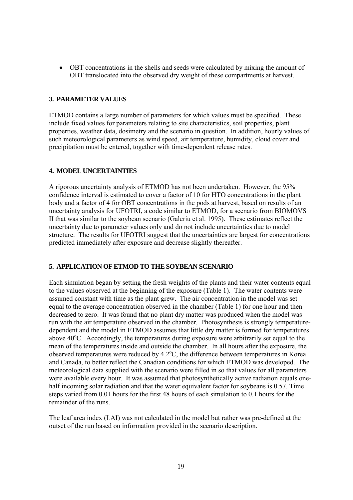• OBT concentrations in the shells and seeds were calculated by mixing the amount of OBT translocated into the observed dry weight of these compartments at harvest.

### **3. PARAMETER VALUES**

ETMOD contains a large number of parameters for which values must be specified. These include fixed values for parameters relating to site characteristics, soil properties, plant properties, weather data, dosimetry and the scenario in question. In addition, hourly values of such meteorological parameters as wind speed, air temperature, humidity, cloud cover and precipitation must be entered, together with time-dependent release rates.

### **4. MODEL UNCERTAINTIES**

A rigorous uncertainty analysis of ETMOD has not been undertaken. However, the 95% confidence interval is estimated to cover a factor of 10 for HTO concentrations in the plant body and a factor of 4 for OBT concentrations in the pods at harvest, based on results of an uncertainty analysis for UFOTRI, a code similar to ETMOD, for a scenario from BIOMOVS II that was similar to the soybean scenario (Galeriu et al. 1995). These estimates reflect the uncertainty due to parameter values only and do not include uncertainties due to model structure. The results for UFOTRI suggest that the uncertainties are largest for concentrations predicted immediately after exposure and decrease slightly thereafter.

### **5. APPLICATION OF ETMOD TO THE SOYBEAN SCENARIO**

Each simulation began by setting the fresh weights of the plants and their water contents equal to the values observed at the beginning of the exposure (Table 1). The water contents were assumed constant with time as the plant grew. The air concentration in the model was set equal to the average concentration observed in the chamber (Table 1) for one hour and then decreased to zero. It was found that no plant dry matter was produced when the model was run with the air temperature observed in the chamber. Photosynthesis is strongly temperaturedependent and the model in ETMOD assumes that little dry matter is formed for temperatures above 40°C. Accordingly, the temperatures during exposure were arbitrarily set equal to the mean of the temperatures inside and outside the chamber. In all hours after the exposure, the observed temperatures were reduced by  $4.2^{\circ}$ C, the difference between temperatures in Korea and Canada, to better reflect the Canadian conditions for which ETMOD was developed. The meteorological data supplied with the scenario were filled in so that values for all parameters were available every hour. It was assumed that photosynthetically active radiation equals onehalf incoming solar radiation and that the water equivalent factor for soybeans is 0.57. Time steps varied from 0.01 hours for the first 48 hours of each simulation to 0.1 hours for the remainder of the runs.

The leaf area index (LAI) was not calculated in the model but rather was pre-defined at the outset of the run based on information provided in the scenario description.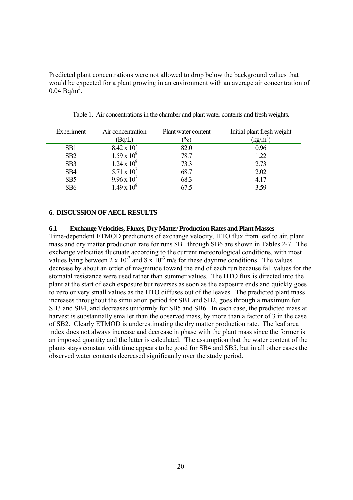Predicted plant concentrations were not allowed to drop below the background values that would be expected for a plant growing in an environment with an average air concentration of  $0.04 \text{ Bq/m}^3$ .

| Experiment      | Air concentration    | Plant water content | Initial plant fresh weight |
|-----------------|----------------------|---------------------|----------------------------|
|                 | (Bq/L)               | $\%$                | $(kg/m^2)$                 |
| SB <sub>1</sub> | $8.42 \times 10^{7}$ | 82.0                | 0.96                       |
| SB2             | $1.59 \times 10^8$   | 78.7                | 1.22                       |
| SB <sub>3</sub> | $1.24 \times 10^8$   | 73.3                | 2.73                       |
| SB <sub>4</sub> | 5.71 x $10^{7}$      | 68.7                | 2.02                       |
| SB <sub>5</sub> | $9.96 \times 10^{7}$ | 68.3                | 4.17                       |
| SB <sub>6</sub> | $1.49 \times 10^8$   | 67.5                | 3.59                       |

Table 1. Air concentrations in the chamber and plant water contents and fresh weights.

#### **6. DISCUSSION OF AECL RESULTS**

#### **6.1 Exchange Velocities, Fluxes, Dry Matter Production Rates and Plant Masses**

Time-dependent ETMOD predictions of exchange velocity, HTO flux from leaf to air, plant mass and dry matter production rate for runs SB1 through SB6 are shown in Tables 2-7. The exchange velocities fluctuate according to the current meteorological conditions, with most values lying between 2 x  $10^{-3}$  and 8 x  $10^{-3}$  m/s for these daytime conditions. The values decrease by about an order of magnitude toward the end of each run because fall values for the stomatal resistance were used rather than summer values. The HTO flux is directed into the plant at the start of each exposure but reverses as soon as the exposure ends and quickly goes to zero or very small values as the HTO diffuses out of the leaves. The predicted plant mass increases throughout the simulation period for SB1 and SB2, goes through a maximum for SB3 and SB4, and decreases uniformly for SB5 and SB6. In each case, the predicted mass at harvest is substantially smaller than the observed mass, by more than a factor of 3 in the case of SB2. Clearly ETMOD is underestimating the dry matter production rate. The leaf area index does not always increase and decrease in phase with the plant mass since the former is an imposed quantity and the latter is calculated. The assumption that the water content of the plants stays constant with time appears to be good for SB4 and SB5, but in all other cases the observed water contents decreased significantly over the study period.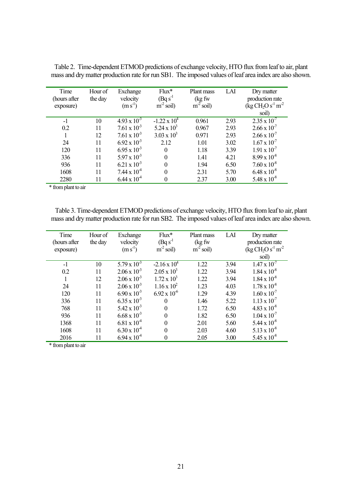| Time<br>(hours after<br>exposure) | Hour of<br>the day | Exchange<br>velocity<br>$(m s^{-1})$ | $Flux*$<br>$(Bq s-1)$<br>$m^2$ soil) | Plant mass<br>(kg fw<br>$m^2$ soil) | LAI  | Dry matter<br>production rate<br>$(kg CH2O s-1 m-2$ |
|-----------------------------------|--------------------|--------------------------------------|--------------------------------------|-------------------------------------|------|-----------------------------------------------------|
|                                   |                    |                                      |                                      |                                     |      | soil)                                               |
| $-1$                              | 10                 | $4.93 \times 10^{-3}$                | $-1.22 \times 10^4$                  | 0.961                               | 2.93 | $2.35 \times 10^{-7}$                               |
| 0.2                               | 11                 | $7.61 \times 10^{-3}$                | $5.24 \times 10^3$                   | 0.967                               | 2.93 | $2.66 \times 10^{-7}$                               |
|                                   | 12                 | $7.61 \times 10^{-3}$                | $3.03 \times 10^{3}$                 | 0.971                               | 2.93 | $2.66 \times 10^{-7}$                               |
| 24                                | 11                 | $6.92 \times 10^{-3}$                | 2.12                                 | 1.01                                | 3.02 | $1.67 \times 10^{-7}$                               |
| 120                               | 11                 | $6.95 \times 10^{-3}$                | $\theta$                             | 1.18                                | 3.39 | $1.91 \times 10^{-7}$                               |
| 336                               | 11                 | $5.97 \times 10^{-3}$                | $\theta$                             | 1.41                                | 4.21 | $8.99 \times 10^{-8}$                               |
| 936                               | 11                 | $6.21 \times 10^{-3}$                | $\theta$                             | 1.94                                | 6.50 | $7.60 \times 10^{-8}$                               |
| 1608                              | 11                 | $7.44 \times 10^4$                   | $\theta$                             | 2.31                                | 5.70 | $6.48 \times 10^{-8}$                               |
| 2280                              | 11                 | $6.44 \times 10^{4}$                 | 0                                    | 2.37                                | 3.00 | $5.48 \times 10^{-8}$                               |

Table 2. Time-dependent ETMOD predictions of exchange velocity, HTO flux from leaf to air, plant mass and dry matter production rate for run SB1. The imposed values of leaf area index are also shown.

\* from plant to air

Table 3. Time-dependent ETMOD predictions of exchange velocity, HTO flux from leaf to air, plant mass and dry matter production rate for run SB2. The imposed values of leaf area index are also shown.

| Time         | Hour of | Exchange              | $Flux*$               | Plant mass  | LAI  | Dry matter            |
|--------------|---------|-----------------------|-----------------------|-------------|------|-----------------------|
| (hours after | the day | velocity              | $(Bq s-1)$            | (kg fw      |      | production rate       |
| exposure)    |         | $(m s-1)$             | $m^2$ soil)           | $m^2$ soil) |      | $(kg CH2O s-1 m-2$    |
|              |         |                       |                       |             |      | soil)                 |
| $-1$         | 10      | $5.79 \times 10^{-3}$ | $-2.16 \times 10^4$   | 1.22        | 3.94 | $1.47 \times 10^{-7}$ |
| 0.2          | 11      | $2.06 \times 10^{-3}$ | $2.05 \times 10^3$    | 1.22        | 3.94 | $1.84 \times 10^{-8}$ |
|              | 12      | $2.06 \times 10^{-3}$ | $1.72 \times 10^3$    | 1.22        | 3.94 | $1.84 \times 10^{-8}$ |
| 24           | 11      | $2.06 \times 10^{-3}$ | $1.16 \times 10^{2}$  | 1.23        | 4.03 | $1.78 \times 10^{-8}$ |
| 120          | 11      | $6.90 \times 10^{-3}$ | $6.92 \times 10^{-6}$ | 1.29        | 4.39 | $1.60 \times 10^{-7}$ |
| 336          | 11      | $6.35 \times 10^{-3}$ | $\Omega$              | 1.46        | 5.22 | $1.13 \times 10^{-7}$ |
| 768          | 11      | $5.42 \times 10^{-3}$ | $\Omega$              | 1.72        | 6.50 | $4.83 \times 10^{-8}$ |
| 936          | 11      | $6.68 \times 10^{-3}$ |                       | 1.82        | 6.50 | $1.04 \times 10^{-7}$ |
| 1368         | 11      | $6.81 \times 10^{4}$  | 0                     | 2.01        | 5.60 | $5.44 \times 10^{-8}$ |
| 1608         | 11      | $6.30 \times 10^{4}$  | $\Omega$              | 2.03        | 4.60 | $5.13 \times 10^{-8}$ |
| 2016         | 11      | $6.94 \times 10^{-4}$ | 0                     | 2.05        | 3.00 | $5.45 \times 10^{-8}$ |

\* from plant to air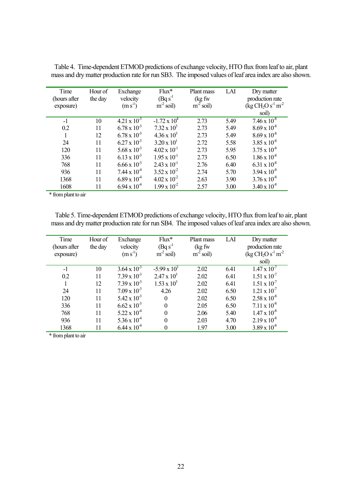| Time<br>(hours after<br>exposure) | Hour of<br>the day | Exchange<br>velocity<br>$(m s-1)$ | $Flux*$<br>$(Bq s-1)$<br>$m^2$ soil) | Plant mass<br>(kg fw<br>$m^2$ soil) | LAI  | Dry matter<br>production rate<br>$(\text{kg CH}_{2}\text{O s}^{-1}\text{m}^{-2})$ |
|-----------------------------------|--------------------|-----------------------------------|--------------------------------------|-------------------------------------|------|-----------------------------------------------------------------------------------|
|                                   |                    |                                   |                                      |                                     |      | soil)                                                                             |
| $-1$                              | 10                 | $4.21 \times 10^{-3}$             | $-1.72 \times 10^4$                  | 2.73                                | 5.49 | $7.46 \times 10^{-8}$                                                             |
| 0.2                               | 11                 | $6.78 \times 10^{-3}$             | $7.32 \times 10^3$                   | 2.73                                | 5.49 | $8.69 \times 10^{-8}$                                                             |
|                                   | 12                 | $6.78 \times 10^{-3}$             | $4.36 \times 10^3$                   | 2.73                                | 5.49 | $8.69 \times 10^{-8}$                                                             |
| 24                                | 11                 | $6.27 \times 10^{-3}$             | $3.20 \times 10^{1}$                 | 2.72                                | 5.58 | $3.85 \times 10^{-8}$                                                             |
| 120                               | 11                 | $5.68 \times 10^{-3}$             | $4.02 \times 10^{-1}$                | 2.73                                | 5.95 | $3.75 \times 10^{-8}$                                                             |
| 336                               | 11                 | $6.13 \times 10^{-3}$             | $1.95 \times 10^{-1}$                | 2.73                                | 6.50 | $1.86 \times 10^{-8}$                                                             |
| 768                               | 11                 | $6.66 \times 10^{-3}$             | $2.43 \times 10^{-1}$                | 2.76                                | 6.40 | $6.31 \times 10^{-8}$                                                             |
| 936                               | 11                 | $7.44 \times 10^{4}$              | $3.52 \times 10^{-2}$                | 2.74                                | 5.70 | $3.94 \times 10^{-8}$                                                             |
| 1368                              | 11                 | $6.89 \times 10^{4}$              | $4.02 \times 10^{-2}$                | 2.63                                | 3.90 | $3.76 \times 10^{-8}$                                                             |
| 1608                              | 11                 | $6.94 \times 10^{4}$              | $1.99 \times 10^{-2}$                | 2.57                                | 3.00 | $3.40 \times 10^{-8}$                                                             |

Table 4. Time-dependent ETMOD predictions of exchange velocity, HTO flux from leaf to air, plant mass and dry matter production rate for run SB3. The imposed values of leaf area index are also shown.

\* from plant to air

Table 5. Time-dependent ETMOD predictions of exchange velocity, HTO flux from leaf to air, plant mass and dry matter production rate for run SB4. The imposed values of leaf area index are also shown.

| Time         | Hour of | Exchange              | $Flux*$             | Plant mass  | LAI  | Dry matter                                       |
|--------------|---------|-----------------------|---------------------|-------------|------|--------------------------------------------------|
| (hours after | the day | velocity              | $(Bq s-1)$          | (kg fw      |      | production rate                                  |
| exposure)    |         | $(m s-1)$             | $m^2$ soil)         | $m^2$ soil) |      | $(\text{kg CH}_{2}\text{O s}^{-1}\text{m}^{-2})$ |
|              |         |                       |                     |             |      | soil)                                            |
| $-1$         | 10      | $3.64 \times 10^{-3}$ | $-5.99 \times 10^3$ | 2.02        | 6.41 | $1.47 \times 10^{-7}$                            |
| 0.2          | 11      | $7.39 \times 10^{-3}$ | $2.47 \times 10^3$  | 2.02        | 6.41 | $1.51 \times 10^{-7}$                            |
|              | 12      | $7.39 \times 10^{-3}$ | $1.53 \times 10^3$  | 2.02        | 6.41 | $1.51 \times 10^{-7}$                            |
| 24           | 11      | $7.09 \times 10^{-3}$ | 4.26                | 2.02        | 6.50 | $1.21 \times 10^{-7}$                            |
| 120          | 11      | $5.42 \times 10^{-3}$ | $\Omega$            | 2.02        | 6.50 | $2.58 \times 10^{-8}$                            |
| 336          | 11      | $6.62 \times 10^{-3}$ |                     | 2.05        | 6.50 | $7.11 \times 10^{-8}$                            |
| 768          | 11      | $5.22 \times 10^{4}$  |                     | 2.06        | 5.40 | $1.47 \times 10^{-8}$                            |
| 936          | 11      | $5.36 \times 10^{4}$  |                     | 2.03        | 4.70 | $2.19 \times 10^{-8}$                            |
| 1368         | 11      | $6.44 \times 10^{4}$  |                     | 1.97        | 3.00 | $3.89 \times 10^{-8}$                            |

\* from plant to air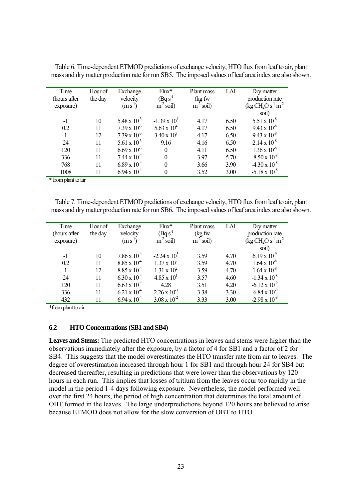| Time<br>(hours after<br>exposure) | Hour of<br>the day | Exchange<br>velocity<br>$(m s-1)$ | $Flux*$<br>$BqS-1$<br>$m-2$<br>soil) | Plant mass<br>(kg fw<br>$m^2$ soil) | LAI  | Dry matter<br>production rate<br>$(\text{kg CH}_{2}\text{O s}^{-1}\text{m}^{-2})$<br>soil) |
|-----------------------------------|--------------------|-----------------------------------|--------------------------------------|-------------------------------------|------|--------------------------------------------------------------------------------------------|
| $-1$                              | 10                 | $5.48 \times 10^{-3}$             | $-1.39 \times 10^4$                  | 4.17                                | 6.50 | $5.51 \times 10^{-8}$                                                                      |
| 0.2                               | 11                 | $7.39 \times 10^{-3}$             | $5.63 \times 10^{4}$                 | 4.17                                | 6.50 | $9.43 \times 10^{-8}$                                                                      |
|                                   | 12                 | $7.39 \times 10^{-3}$             | $3.40 \times 10^{3}$                 | 4.17                                | 6.50 | $9.43 \times 10^{-8}$                                                                      |
| 24                                | 11                 | 5.61 x $10^{-3}$                  | 9.16                                 | 4.16                                | 6.50 | $2.14 \times 10^{-8}$                                                                      |
| 120                               | 11                 | $6.69 \times 10^{-3}$             | $\Omega$                             | 4.11                                | 6.50 | $1.36 \times 10^{-8}$                                                                      |
| 336                               | 11                 | $7.44 \times 10^4$                | $\theta$                             | 3.97                                | 5.70 | $-8.50 \times 10^{-8}$                                                                     |
| 768                               | 11                 | $6.89 \times 10^{4}$              | 0                                    | 3.66                                | 3.90 | $-4.30 \times 10^{-8}$                                                                     |
| 1008                              | 11                 | $6.94 \times 10^{4}$              | 0                                    | 3.52                                | 3.00 | $-5.18 \times 10^{-8}$                                                                     |

Table 6. Time-dependent ETMOD predictions of exchange velocity, HTO flux from leaf to air, plant mass and dry matter production rate for run SB5. The imposed values of leaf area index are also shown.

\* from plant to air

Table 7. Time-dependent ETMOD predictions of exchange velocity, HTO flux from leaf to air, plant mass and dry matter production rate for run SB6. The imposed values of leaf area index are also shown.

| Time         | Hour of | Exchange              | $Flux*$               | Plant mass  | LAI  | Dry matter                                       |
|--------------|---------|-----------------------|-----------------------|-------------|------|--------------------------------------------------|
| (hours after | the day | velocity              | $(Bq s-1)$            | (kg fw      |      | production rate                                  |
| exposure)    |         | $(m s^{-1})$          | $m^2$ soil)           | $m^2$ soil) |      | $(\text{kg CH}_{2}\text{O s}^{-1}\text{m}^{-2})$ |
|              |         |                       |                       |             |      | soil)                                            |
| $-1$         | 10      | $7.86 \times 10^4$    | $-2.24 \times 10^3$   | 3.59        | 4.70 | $6.19 \times 10^{9}$                             |
| 0.2          | 11      | $8.85 \times 10^{-4}$ | $1.37 \times 10^{2}$  | 3.59        | 4.70 | $1.64 \times 10^{-8}$                            |
|              | 12      | $8.85 \times 10^{4}$  | $1.31 \times 10^{2}$  | 3.59        | 4.70 | $1.64 \times 10^{-8}$                            |
| 24           | 11      | $6.30 \times 10^{4}$  | $4.85 \times 10^{1}$  | 3.57        | 4.60 | $-1.34 \times 10^{-8}$                           |
| 120          | 11      | $6.63 \times 10^{4}$  | 4.28                  | 3.51        | 4.20 | $-6.12 \times 10^{-9}$                           |
| 336          | 11      | $6.21 \times 10^4$    | $2.26 \times 10^{-3}$ | 3.38        | 3.30 | $-6.84 \times 10^{-9}$                           |
| 432          | 11      | $6.94 \times 10^{4}$  | $3.08 \times 10^{-2}$ | 3.33        | 3.00 | $-2.98 \times 10^{-9}$                           |

\*from plant to air

#### **6.2 HTO Concentrations (SB1 and SB4)**

**Leaves and Stems:** The predicted HTO concentrations in leaves and stems were higher than the observations immediately after the exposure, by a factor of 4 for SB1 and a factor of 2 for SB4. This suggests that the model overestimates the HTO transfer rate from air to leaves. The degree of overestimation increased through hour 1 for SB1 and through hour 24 for SB4 but decreased thereafter, resulting in predictions that were lower than the observations by 120 hours in each run. This implies that losses of tritium from the leaves occur too rapidly in the model in the period 1-4 days following exposure. Nevertheless, the model performed well over the first 24 hours, the period of high concentration that determines the total amount of OBT formed in the leaves. The large underpredictions beyond 120 hours are believed to arise because ETMOD does not allow for the slow conversion of OBT to HTO.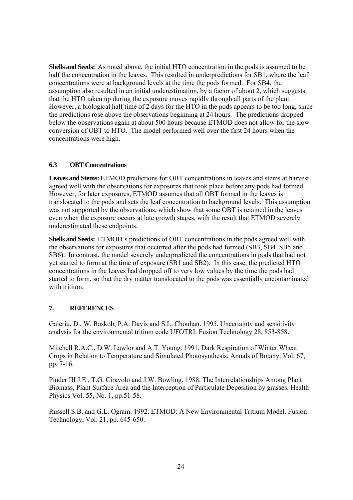**Shells and Seeds:** As noted above, the initial HTO concentration in the pods is assumed to be half the concentration in the leaves. This resulted in underpredictions for SB1, where the leaf concentrations were at background levels at the time the pods formed. For SB4, the assumption also resulted in an initial underestimation, by a factor of about 2, which suggests that the HTO taken up during the exposure moves rapidly through all parts of the plant. However, a biological half time of 2 days for the HTO in the pods appears to be too long, since the predictions rose above the observations beginning at 24 hours. The predictions dropped below the observations again at about 500 hours because ETMOD does not allow for the slow conversion of OBT to HTO. The model performed well over the first 24 hours when the concentrations were high.

### **6.3 OBT Concentrations**

**Leaves and Stems:** ETMOD predictions for OBT concentrations in leaves and stems at harvest agreed well with the observations for exposures that took place before any pods had formed. However, for later exposures, ETMOD assumes that all OBT formed in the leaves is translocated to the pods and sets the leaf concentration to background levels. This assumption was not supported by the observations, which show that some OBT is retained in the leaves even when the exposure occurs at late growth stages, with the result that ETMOD severely underestimated these endpoints.

**Shells and Seeds:** ETMOD's predictions of OBT concentrations in the pods agreed well with the observations for exposures that occurred after the pods had formed (SB3, SB4, SB5 and SB6). In contrast, the model severely underpredicted the concentrations in pods that had not yet started to form at the time of exposure (SB1 and SB2). In this case, the predicted HTO concentrations in the leaves had dropped off to very low values by the time the pods had started to form, so that the dry matter translocated to the pods was essentially uncontaminated with tritium.

### **7. REFERENCES**

Galeriu, D., W. Raskob, P.A. Davis and S.L. Chouhan. 1995. Uncertainty and sensitivity analysis for the environmental tritium code UFOTRI. Fusion Technology 28, 853-858.

Mitchell R.A.C., D.W. Lawlor and A.T. Young. 1991. Dark Respiration of Winter Wheat Crops in Relation to Temperature and Simulated Photosynthesis. Annals of Botany, Vol. 67, pp. 7-16.

Pinder III J.E., T.G. Ciravolo and J.W. Bowling. 1988. The Interrelationships Among Plant Biomass, Plant Surface Area and the Interception of Particulate Deposition by grasses. Health Physics Vol. 55, No. 1, pp.51-58.

Russell S.B. and G.L. Ogram. 1992. ETMOD: A New Environmental Tritium Model. Fusion Technology, Vol. 21, pp. 645-650.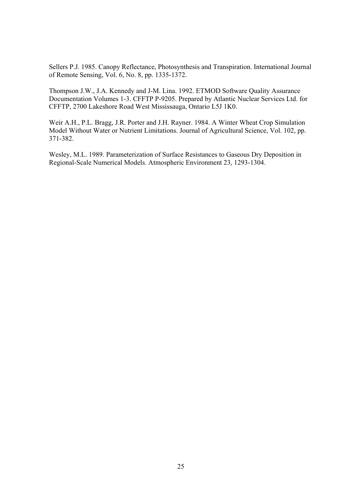Sellers P.J. 1985. Canopy Reflectance, Photosynthesis and Transpiration. International Journal of Remote Sensing, Vol. 6, No. 8, pp. 1335-1372.

Thompson J.W., J.A. Kennedy and J-M. Lina. 1992. ETMOD Software Quality Assurance Documentation Volumes 1-3. CFFTP P-9205. Prepared by Atlantic Nuclear Services Ltd. for CFFTP, 2700 Lakeshore Road West Mississauga, Ontario L5J 1K0.

Weir A.H., P.L. Bragg, J.R. Porter and J.H. Rayner. 1984. A Winter Wheat Crop Simulation Model Without Water or Nutrient Limitations. Journal of Agricultural Science, Vol. 102, pp. 371-382.

Wesley, M.L. 1989. Parameterization of Surface Resistances to Gaseous Dry Deposition in Regional-Scale Numerical Models. Atmospheric Environment 23, 1293-1304.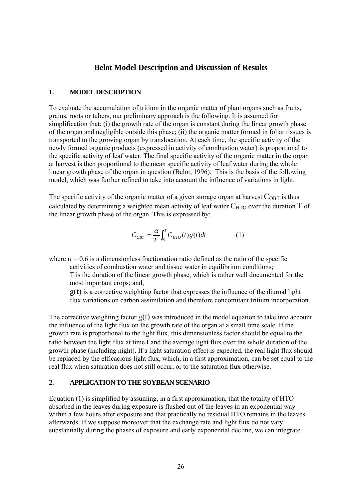### **Belot Model Description and Discussion of Results**

#### **1. MODEL DESCRIPTION**

To evaluate the accumulation of tritium in the organic matter of plant organs such as fruits, grains, roots or tubers, our preliminary approach is the following. It is assumed for simplification that: (i) the growth rate of the organ is constant during the linear growth phase of the organ and negligible outside this phase; (ii) the organic matter formed in foliar tissues is transported to the growing organ by translocation. At each time, the specific activity of the newly formed organic products (expressed in activity of combustion water) is proportional to the specific activity of leaf water. The final specific activity of the organic matter in the organ at harvest is then proportional to the mean specific activity of leaf water during the whole linear growth phase of the organ in question (Belot, 1996). This is the basis of the following model, which was further refined to take into account the influence of variations in light.

The specific activity of the organic matter of a given storage organ at harvest  $C_{\text{OBT}}$  is thus calculated by determining a weighted mean activity of leaf water  $C_{\text{HTO}}$  over the duration T of the linear growth phase of the organ. This is expressed by:

$$
C_{\text{OBT}} = \frac{\alpha}{T} \int_0^T C_{\text{HTO}}(t) g(t) dt \tag{1}
$$

where  $\alpha = 0.6$  is a dimensionless fractionation ratio defined as the ratio of the specific

activities of combustion water and tissue water in equilibrium conditions;

T is the duration of the linear growth phase, which is rather well documented for the most important crops; and,

 $g(t)$  is a corrective weighting factor that expresses the influence of the diurnal light flux variations on carbon assimilation and therefore concomitant tritium incorporation.

The corrective weighting factor  $g(t)$  was introduced in the model equation to take into account the influence of the light flux on the growth rate of the organ at a small time scale. If the growth rate is proportional to the light flux, this dimensionless factor should be equal to the ratio between the light flux at time t and the average light flux over the whole duration of the growth phase (including night). If a light saturation effect is expected, the real light flux should be replaced by the efficacious light flux, which, in a first approximation, can be set equal to the real flux when saturation does not still occur, or to the saturation flux otherwise.

### **2. APPLICATION TO THE SOYBEAN SCENARIO**

Equation (1) is simplified by assuming, in a first approximation, that the totality of HTO absorbed in the leaves during exposure is flushed out of the leaves in an exponential way within a few hours after exposure and that practically no residual HTO remains in the leaves afterwards. If we suppose moreover that the exchange rate and light flux do not vary substantially during the phases of exposure and early exponential decline, we can integrate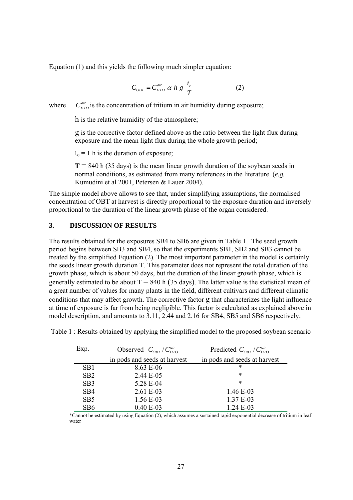Equation (1) and this yields the following much simpler equation:

$$
C_{\text{OBT}} = C_{\text{HTO}}^{\text{air}} \alpha h g \frac{t_e}{T}
$$
 (2)

where  $C_{HTO}^{air}$  is the concentration of tritium in air humidity during exposure;

h is the relative humidity of the atmosphere;

g is the corrective factor defined above as the ratio between the light flux during exposure and the mean light flux during the whole growth period;

 $t_e$  = 1 h is the duration of exposure;

 $T = 840$  h (35 days) is the mean linear growth duration of the soybean seeds in normal conditions, as estimated from many references in the literature (*e.g.* Kumudini et al 2001, Petersen & Lauer 2004).

The simple model above allows to see that, under simplifying assumptions, the normalised concentration of OBT at harvest is directly proportional to the exposure duration and inversely proportional to the duration of the linear growth phase of the organ considered.

### **3. DISCUSSION OF RESULTS**

The results obtained for the exposures SB4 to SB6 are given in Table 1. The seed growth period begins between SB3 and SB4, so that the experiments SB1, SB2 and SB3 cannot be treated by the simplified Equation (2). The most important parameter in the model is certainly the seeds linear growth duration T. This parameter does not represent the total duration of the growth phase, which is about 50 days, but the duration of the linear growth phase, which is generally estimated to be about  $T = 840$  h (35 days). The latter value is the statistical mean of a great number of values for many plants in the field, different cultivars and different climatic conditions that may affect growth. The corrective factor g that characterizes the light influence at time of exposure is far from being negligible. This factor is calculated as explained above in model description, and amounts to 3.11, 2.44 and 2.16 for SB4, SB5 and SB6 respectively.

| Exp.            | Observed $C_{ORT}/C_{HTO}^{air}$ | Predicted $C_{OBT}$ / $C_{HTO}^{air}$ |
|-----------------|----------------------------------|---------------------------------------|
|                 | in pods and seeds at harvest     | in pods and seeds at harvest          |
| SB1             | 8.63 E-06                        | *                                     |
| SB2             | 2.44 E-05                        | *                                     |
| SB <sub>3</sub> | 5.28 E-04                        | $\ast$                                |
| SB4             | 2.61 E-03                        | 1.46 E-03                             |
| SB <sub>5</sub> | 1.56 E-03                        | 1.37 E-03                             |
| SB6             | $0.40 E-03$                      | $1.24 E-03$                           |

Table 1 : Results obtained by applying the simplified model to the proposed soybean scenario

\*Cannot be estimated by using Equation (2), which assumes a sustained rapid exponential decrease of tritium in leaf water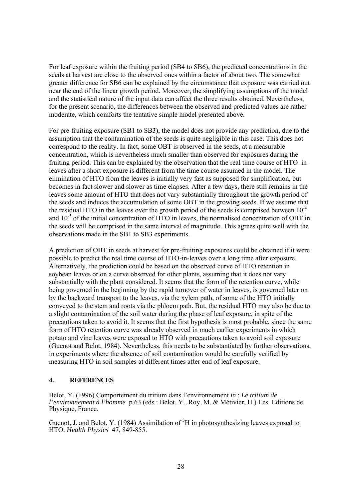For leaf exposure within the fruiting period (SB4 to SB6), the predicted concentrations in the seeds at harvest are close to the observed ones within a factor of about two. The somewhat greater difference for SB6 can be explained by the circumstance that exposure was carried out near the end of the linear growth period. Moreover, the simplifying assumptions of the model and the statistical nature of the input data can affect the three results obtained. Nevertheless, for the present scenario, the differences between the observed and predicted values are rather moderate, which comforts the tentative simple model presented above.

For pre-fruiting exposure (SB1 to SB3), the model does not provide any prediction, due to the assumption that the contamination of the seeds is quite negligible in this case. This does not correspond to the reality. In fact, some OBT is observed in the seeds, at a measurable concentration, which is nevertheless much smaller than observed for exposures during the fruiting period. This can be explained by the observation that the real time course of HTO–in– leaves after a short exposure is different from the time course assumed in the model. The elimination of HTO from the leaves is initially very fast as supposed for simplification, but becomes in fact slower and slower as time elapses. After a few days, there still remains in the leaves some amount of HTO that does not vary substantially throughout the growth period of the seeds and induces the accumulation of some OBT in the growing seeds. If we assume that the residual HTO in the leaves over the growth period of the seeds is comprised between  $10^{-4}$ and  $10^{-5}$  of the initial concentration of HTO in leaves, the normalised concentration of OBT in the seeds will be comprised in the same interval of magnitude. This agrees quite well with the observations made in the SB1 to SB3 experiments.

A prediction of OBT in seeds at harvest for pre-fruiting exposures could be obtained if it were possible to predict the real time course of HTO-in-leaves over a long time after exposure. Alternatively, the prediction could be based on the observed curve of HTO retention in soybean leaves or on a curve observed for other plants, assuming that it does not vary substantially with the plant considered. It seems that the form of the retention curve, while being governed in the beginning by the rapid turnover of water in leaves, is governed later on by the backward transport to the leaves, via the xylem path, of some of the HTO initially conveyed to the stem and roots via the phloem path. But, the residual HTO may also be due to a slight contamination of the soil water during the phase of leaf exposure, in spite of the precautions taken to avoid it. It seems that the first hypothesis is most probable, since the same form of HTO retention curve was already observed in much earlier experiments in which potato and vine leaves were exposed to HTO with precautions taken to avoid soil exposure (Guenot and Belot, 1984). Nevertheless, this needs to be substantiated by further observations, in experiments where the absence of soil contamination would be carefully verified by measuring HTO in soil samples at different times after end of leaf exposure.

### **4. REFERENCES**

Belot, Y. (1996) Comportement du tritium dans l'environnement *in* : *Le tritium de l'environnement à l'homme* p.63 (eds : Belot, Y., Roy, M. & Métivier, H.) Les Editions de Physique, France.

Guenot, J. and Belot, Y. (1984) Assimilation of  ${}^{3}H$  in photosynthesizing leaves exposed to HTO. *Health Physics* 47, 849-855.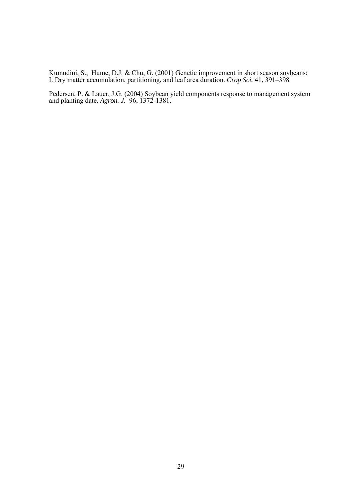Kumudini, S., Hume, D.J. & Chu, G. (2001) Genetic improvement in short season soybeans: I. Dry matter accumulation, partitioning, and leaf area duration. *Crop Sci.* 41, 391–398

Pedersen, P. & Lauer, J.G. (2004) Soybean yield components response to management system and planting date. *Agron. J.* 96, 1372-1381.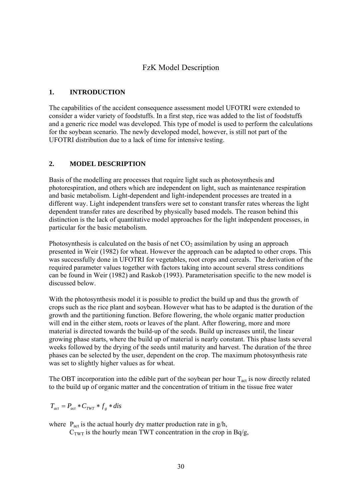### FzK Model Description

### **1. INTRODUCTION**

The capabilities of the accident consequence assessment model UFOTRI were extended to consider a wider variety of foodstuffs. In a first step, rice was added to the list of foodstuffs and a generic rice model was developed. This type of model is used to perform the calculations for the soybean scenario. The newly developed model, however, is still not part of the UFOTRI distribution due to a lack of time for intensive testing.

### **2. MODEL DESCRIPTION**

Basis of the modelling are processes that require light such as photosynthesis and photorespiration, and others which are independent on light, such as maintenance respiration and basic metabolism. Light-dependent and light-independent processes are treated in a different way. Light independent transfers were set to constant transfer rates whereas the light dependent transfer rates are described by physically based models. The reason behind this distinction is the lack of quantitative model approaches for the light independent processes, in particular for the basic metabolism.

Photosynthesis is calculated on the basis of net  $CO<sub>2</sub>$  assimilation by using an approach presented in Weir (1982) for wheat. However the approach can be adapted to other crops. This was successfully done in UFOTRI for vegetables, root crops and cereals. The derivation of the required parameter values together with factors taking into account several stress conditions can be found in Weir (1982) and Raskob (1993). Parameterisation specific to the new model is discussed below.

With the photosynthesis model it is possible to predict the build up and thus the growth of crops such as the rice plant and soybean. However what has to be adapted is the duration of the growth and the partitioning function. Before flowering, the whole organic matter production will end in the either stem, roots or leaves of the plant. After flowering, more and more material is directed towards the build-up of the seeds. Build up increases until, the linear growing phase starts, where the build up of material is nearly constant. This phase lasts several weeks followed by the drying of the seeds until maturity and harvest. The duration of the three phases can be selected by the user, dependent on the crop. The maximum photosynthesis rate was set to slightly higher values as for wheat.

The OBT incorporation into the edible part of the soybean per hour  $T_{act}$  is now directly related to the build up of organic matter and the concentration of tritium in the tissue free water

$$
T_{act} = P_{act} * C_{TWT} * f_g * dis
$$

where  $P_{\text{act}}$  is the actual hourly dry matter production rate in  $g/h$ ,

 $C<sub>TWT</sub>$  is the hourly mean TWT concentration in the crop in Bq/g,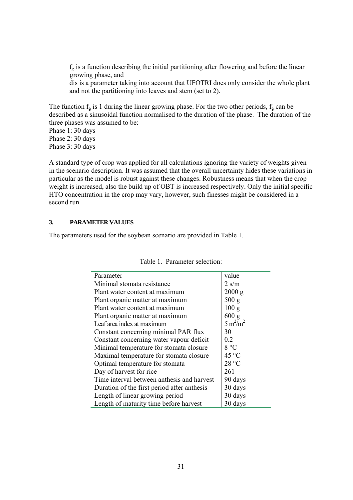$f<sub>g</sub>$  is a function describing the initial partitioning after flowering and before the linear growing phase, and dis is a parameter taking into account that UFOTRI does only consider the whole plant and not the partitioning into leaves and stem (set to 2).

The function  $f_g$  is 1 during the linear growing phase. For the two other periods,  $f_g$  can be described as a sinusoidal function normalised to the duration of the phase. The duration of the three phases was assumed to be:

Phase 1: 30 days Phase 2: 30 days Phase 3: 30 days

A standard type of crop was applied for all calculations ignoring the variety of weights given in the scenario description. It was assumed that the overall uncertainty hides these variations in particular as the model is robust against these changes. Robustness means that when the crop weight is increased, also the build up of OBT is increased respectively. Only the initial specific HTO concentration in the crop may vary, however, such finesses might be considered in a second run.

### **3. PARAMETER VALUES**

The parameters used for the soybean scenario are provided in Table 1.

| Parameter                                   | value            |
|---------------------------------------------|------------------|
| Minimal stomata resistance                  | $2 \text{ s/m}$  |
| Plant water content at maximum              | 2000 g           |
| Plant organic matter at maximum             | 500 g            |
| Plant water content at maximum              | 100 <sub>g</sub> |
| Plant organic matter at maximum             | 600 g            |
| Leaf area index at maximum                  | $5 m^2/m^2$      |
| Constant concerning minimal PAR flux        | 30               |
| Constant concerning water vapour deficit    | 0.2              |
| Minimal temperature for stomata closure     | 8 °C             |
| Maximal temperature for stomata closure     | $45^{\circ}$ C   |
| Optimal temperature for stomata             | 28 °C            |
| Day of harvest for rice                     | 261              |
| Time interval between anthesis and harvest  | 90 days          |
| Duration of the first period after anthesis | 30 days          |
| Length of linear growing period             | 30 days          |
| Length of maturity time before harvest      | 30 days          |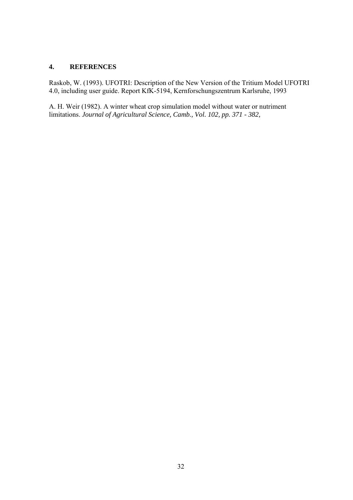### **4. REFERENCES**

Raskob, W. (1993). UFOTRI: Description of the New Version of the Tritium Model UFOTRI 4.0, including user guide. Report KfK-5194, Kernforschungszentrum Karlsruhe, 1993

A. H. Weir (1982). A winter wheat crop simulation model without water or nutriment limitations. *Journal of Agricultural Science, Camb., Vol. 102, pp. 371 - 382,*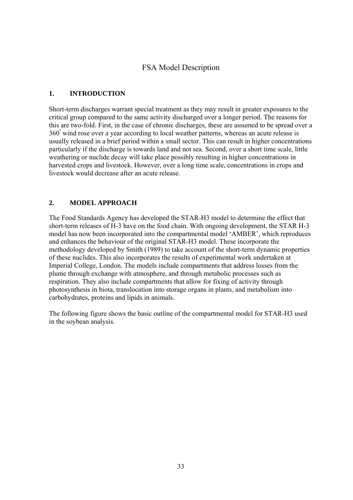# FSA Model Description

### **1. INTRODUCTION**

Short-term discharges warrant special treatment as they may result in greater exposures to the critical group compared to the same activity discharged over a longer period. The reasons for this are two-fold. First, in the case of chronic discharges, these are assumed to be spread over a 360° wind rose over a year according to local weather patterns, whereas an acute release is usually released in a brief period within a small sector. This can result in higher concentrations particularly if the discharge is towards land and not sea. Second, over a short time scale, little weathering or nuclide decay will take place possibly resulting in higher concentrations in harvested crops and livestock. However, over a long time scale, concentrations in crops and livestock would decrease after an acute release.

### **2. MODEL APPROACH**

The Food Standards Agency has developed the STAR-H3 model to determine the effect that short-term releases of H-3 have on the food chain. With ongoing development, the STAR H-3 model has now been incorporated into the compartmental model 'AMBER', which reproduces and enhances the behaviour of the original STAR-H3 model. These incorporate the methodology developed by Smith (1989) to take account of the short-term dynamic properties of these nuclides. This also incorporates the results of experimental work undertaken at Imperial College, London. The models include compartments that address losses from the plume through exchange with atmosphere, and through metabolic processes such as respiration. They also include compartments that allow for fixing of activity through photosynthesis in biota, translocation into storage organs in plants, and metabolism into carbohydrates, proteins and lipids in animals.

The following figure shows the basic outline of the compartmental model for STAR-H3 used in the soybean analysis.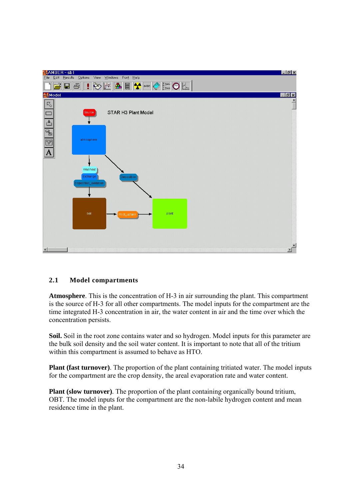

### **2.1 Model compartments**

**Atmosphere**. This is the concentration of H-3 in air surrounding the plant. This compartment is the source of H-3 for all other compartments. The model inputs for the compartment are the time integrated H-3 concentration in air, the water content in air and the time over which the concentration persists.

**Soil.** Soil in the root zone contains water and so hydrogen. Model inputs for this parameter are the bulk soil density and the soil water content. It is important to note that all of the tritium within this compartment is assumed to behave as HTO.

**Plant (fast turnover)**. The proportion of the plant containing tritiated water. The model inputs for the compartment are the crop density, the areal evaporation rate and water content.

**Plant (slow turnover)**. The proportion of the plant containing organically bound tritium, OBT. The model inputs for the compartment are the non-labile hydrogen content and mean residence time in the plant.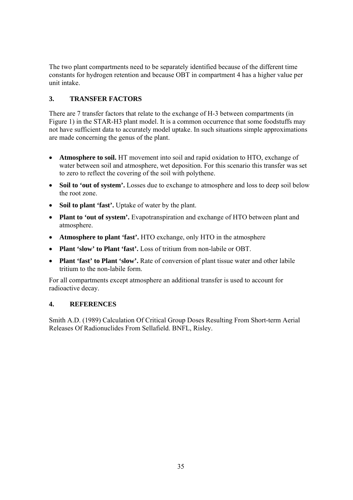The two plant compartments need to be separately identified because of the different time constants for hydrogen retention and because OBT in compartment 4 has a higher value per unit intake.

## **3. TRANSFER FACTORS**

There are 7 transfer factors that relate to the exchange of H-3 between compartments (in Figure 1) in the STAR-H3 plant model. It is a common occurrence that some foodstuffs may not have sufficient data to accurately model uptake. In such situations simple approximations are made concerning the genus of the plant.

- **Atmosphere to soil.** HT movement into soil and rapid oxidation to HTO, exchange of water between soil and atmosphere, wet deposition. For this scenario this transfer was set to zero to reflect the covering of the soil with polythene.
- **Soil to 'out of system'.** Losses due to exchange to atmosphere and loss to deep soil below the root zone.
- **Soil to plant 'fast'.** Uptake of water by the plant.
- **Plant to 'out of system'.** Evapotranspiration and exchange of HTO between plant and atmosphere.
- **Atmosphere to plant 'fast'.** HTO exchange, only HTO in the atmosphere
- **Plant 'slow' to Plant 'fast'.** Loss of tritium from non-labile or OBT.
- **Plant 'fast' to Plant 'slow'.** Rate of conversion of plant tissue water and other labile tritium to the non-labile form.

For all compartments except atmosphere an additional transfer is used to account for radioactive decay.

### **4. REFERENCES**

Smith A.D. (1989) Calculation Of Critical Group Doses Resulting From Short-term Aerial Releases Of Radionuclides From Sellafield. BNFL, Risley.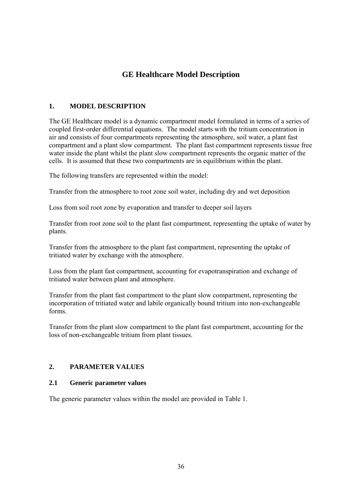# **GE Healthcare Model Description**

### **1. MODEL DESCRIPTION**

The GE Healthcare model is a dynamic compartment model formulated in terms of a series of coupled first-order differential equations. The model starts with the tritium concentration in air and consists of four compartments representing the atmosphere, soil water, a plant fast compartment and a plant slow compartment. The plant fast compartment represents tissue free water inside the plant whilst the plant slow compartment represents the organic matter of the cells. It is assumed that these two compartments are in equilibrium within the plant.

The following transfers are represented within the model:

Transfer from the atmosphere to root zone soil water, including dry and wet deposition

Loss from soil root zone by evaporation and transfer to deeper soil layers

Transfer from root zone soil to the plant fast compartment, representing the uptake of water by plants.

Transfer from the atmosphere to the plant fast compartment, representing the uptake of tritiated water by exchange with the atmosphere.

Loss from the plant fast compartment, accounting for evapotranspiration and exchange of tritiated water between plant and atmosphere.

Transfer from the plant fast compartment to the plant slow compartment, representing the incorporation of tritiated water and labile organically bound tritium into non-exchangeable forms.

Transfer from the plant slow compartment to the plant fast compartment, accounting for the loss of non-exchangeable tritium from plant tissues.

### **2. PARAMETER VALUES**

### **2.1 Generic parameter values**

The generic parameter values within the model are provided in Table 1.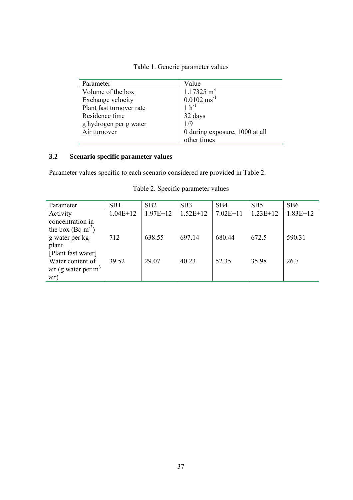| Parameter                | Value                          |
|--------------------------|--------------------------------|
| Volume of the box        | $1.17325 \text{ m}^3$          |
| Exchange velocity        | $0.0102 \text{ ms}^{-1}$       |
| Plant fast turnover rate | $1 h^{-1}$                     |
| Residence time           | 32 days                        |
| g hydrogen per g water   | 1/9                            |
| Air turnover             | 0 during exposure, 1000 at all |
|                          | other times                    |

# **3.2 Scenario specific parameter values**

Parameter values specific to each scenario considered are provided in Table 2.

| Parameter             | SB1        | SB <sub>2</sub> | SB <sub>3</sub> | SB <sub>4</sub> | SB <sub>5</sub> | SB <sub>6</sub> |
|-----------------------|------------|-----------------|-----------------|-----------------|-----------------|-----------------|
| Activity              | $1.04E+12$ | $1.97E+12$      | $1.52E+12$      | $7.02E+11$      | $1.23E+12$      | $1.83E+12$      |
| concentration in      |            |                 |                 |                 |                 |                 |
| the box $(Bq m^{-3})$ |            |                 |                 |                 |                 |                 |
| g water per kg        | 712        | 638.55          | 697.14          | 680.44          | 672.5           | 590.31          |
| plant                 |            |                 |                 |                 |                 |                 |
| [Plant fast water]    |            |                 |                 |                 |                 |                 |
| Water content of      | 39.52      | 29.07           | 40.23           | 52.35           | 35.98           | 26.7            |
| air (g water per $m3$ |            |                 |                 |                 |                 |                 |
| air)                  |            |                 |                 |                 |                 |                 |

Table 2. Specific parameter values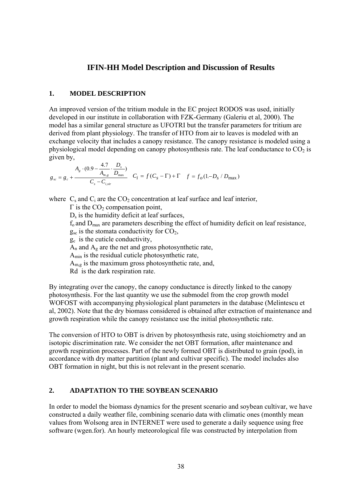## **IFIN-HH Model Description and Discussion of Results**

#### **1. MODEL DESCRIPTION**

An improved version of the tritium module in the EC project RODOS was used, initially developed in our institute in collaboration with FZK-Germany (Galeriu et al, 2000). The model has a similar general structure as UFOTRI but the transfer parameters for tritium are derived from plant physiology. The transfer of HTO from air to leaves is modeled with an exchange velocity that includes a canopy resistance. The canopy resistance is modeled using a physiological model depending on canopy photosynthesis rate. The leaf conductance to  $CO<sub>2</sub>$  is given by,

$$
g_{_{sc}} = g_c + \frac{A_g \cdot (0.9 - \frac{4.7}{A_{m,g}} \cdot \frac{D_s}{D_{\text{max}}})}{C_s - C_{i,\text{vir}}} \quad C_i = f(C_s - \Gamma) + \Gamma \quad f = f_o(1 - D_s / D_{\text{max}})
$$

where  $C_s$  and  $C_i$  are the  $CO_2$  concentration at leaf surface and leaf interior,

 $Γ$  is the  $CO<sub>2</sub>$  compensation point,  $D_s$  is the humidity deficit at leaf surfaces,  $f_0$  and  $D_{\text{max}}$  are parameters describing the effect of humidity deficit on leaf resistance,  $g_{\rm sc}$  is the stomata conductivity for  $CO<sub>2</sub>$ ,  $g_c$  is the cuticle conductivity,  $A_n$  and  $A_g$  are the net and gross photosynthetic rate, Amin is the residual cuticle photosynthetic rate,  $A_{m,g}$  is the maximum gross photosynthetic rate, and, Rd is the dark respiration rate.

By integrating over the canopy, the canopy conductance is directly linked to the canopy photosynthesis. For the last quantity we use the submodel from the crop growth model WOFOST with accompanying physiological plant parameters in the database (Melintescu et al, 2002). Note that the dry biomass considered is obtained after extraction of maintenance and growth respiration while the canopy resistance use the initial photosynthetic rate.

The conversion of HTO to OBT is driven by photosynthesis rate, using stoichiometry and an isotopic discrimination rate. We consider the net OBT formation, after maintenance and growth respiration processes. Part of the newly formed OBT is distributed to grain (pod), in accordance with dry matter partition (plant and cultivar specific). The model includes also OBT formation in night, but this is not relevant in the present scenario.

## **2. ADAPTATION TO THE SOYBEAN SCENARIO**

In order to model the biomass dynamics for the present scenario and soybean cultivar, we have constructed a daily weather file, combining scenario data with climatic ones (monthly mean values from Wolsong area in INTERNET were used to generate a daily sequence using free software (wgen.for). An hourly meteorological file was constructed by interpolation from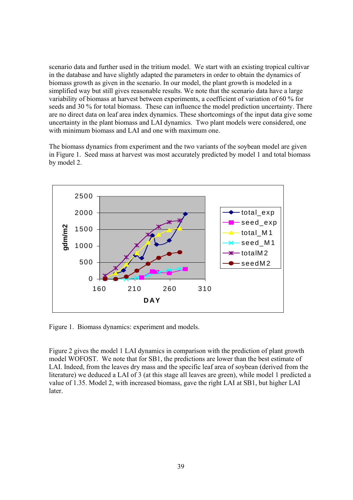scenario data and further used in the tritium model. We start with an existing tropical cultivar in the database and have slightly adapted the parameters in order to obtain the dynamics of biomass growth as given in the scenario. In our model, the plant growth is modeled in a simplified way but still gives reasonable results. We note that the scenario data have a large variability of biomass at harvest between experiments, a coefficient of variation of 60 % for seeds and 30 % for total biomass. These can influence the model prediction uncertainty. There are no direct data on leaf area index dynamics. These shortcomings of the input data give some uncertainty in the plant biomass and LAI dynamics. Two plant models were considered, one with minimum biomass and LAI and one with maximum one.

The biomass dynamics from experiment and the two variants of the soybean model are given in Figure 1. Seed mass at harvest was most accurately predicted by model 1 and total biomass by model 2.



Figure 1. Biomass dynamics: experiment and models.

Figure 2 gives the model 1 LAI dynamics in comparison with the prediction of plant growth model WOFOST. We note that for SB1, the predictions are lower than the best estimate of LAI. Indeed, from the leaves dry mass and the specific leaf area of soybean (derived from the literature) we deduced a LAI of 3 (at this stage all leaves are green), while model 1 predicted a value of 1.35. Model 2, with increased biomass, gave the right LAI at SB1, but higher LAI later.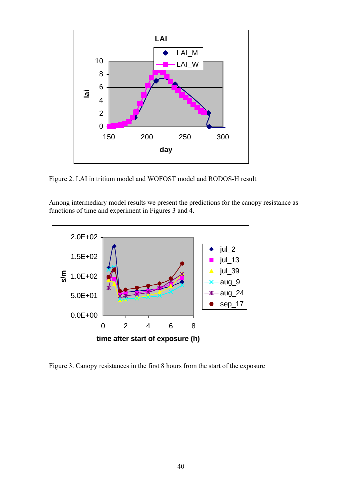

Figure 2. LAI in tritium model and WOFOST model and RODOS-H result

Among intermediary model results we present the predictions for the canopy resistance as functions of time and experiment in Figures 3 and 4.



Figure 3. Canopy resistances in the first 8 hours from the start of the exposure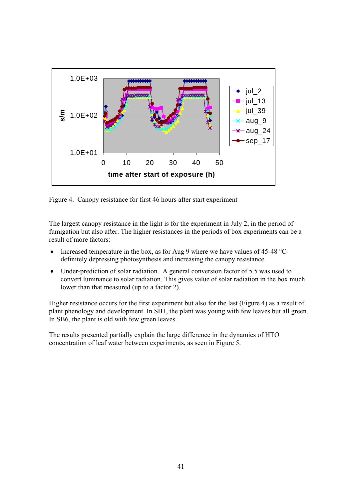

Figure 4. Canopy resistance for first 46 hours after start experiment

The largest canopy resistance in the light is for the experiment in July 2, in the period of fumigation but also after. The higher resistances in the periods of box experiments can be a result of more factors:

- Increased temperature in the box, as for Aug 9 where we have values of 45-48 °Cdefinitely depressing photosynthesis and increasing the canopy resistance.
- Under-prediction of solar radiation. A general conversion factor of 5.5 was used to convert luminance to solar radiation. This gives value of solar radiation in the box much lower than that measured (up to a factor 2).

Higher resistance occurs for the first experiment but also for the last (Figure 4) as a result of plant phenology and development. In SB1, the plant was young with few leaves but all green. In SB6, the plant is old with few green leaves.

The results presented partially explain the large difference in the dynamics of HTO concentration of leaf water between experiments, as seen in Figure 5.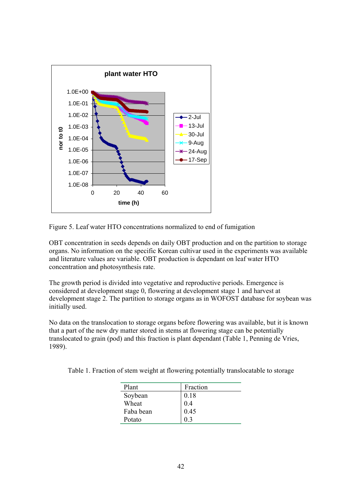

Figure 5. Leaf water HTO concentrations normalized to end of fumigation

OBT concentration in seeds depends on daily OBT production and on the partition to storage organs. No information on the specific Korean cultivar used in the experiments was available and literature values are variable. OBT production is dependant on leaf water HTO concentration and photosynthesis rate.

The growth period is divided into vegetative and reproductive periods. Emergence is considered at development stage 0, flowering at development stage 1 and harvest at development stage 2. The partition to storage organs as in WOFOST database for soybean was initially used.

No data on the translocation to storage organs before flowering was available, but it is known that a part of the new dry matter stored in stems at flowering stage can be potentially translocated to grain (pod) and this fraction is plant dependant (Table 1, Penning de Vries, 1989).

|  |  |  | Table 1. Fraction of stem weight at flowering potentially translocatable to storage |  |
|--|--|--|-------------------------------------------------------------------------------------|--|
|  |  |  |                                                                                     |  |

| Plant     | Fraction |
|-----------|----------|
| Soybean   | 0.18     |
| Wheat     | 04       |
| Faba bean | 0.45     |
| Potato    |          |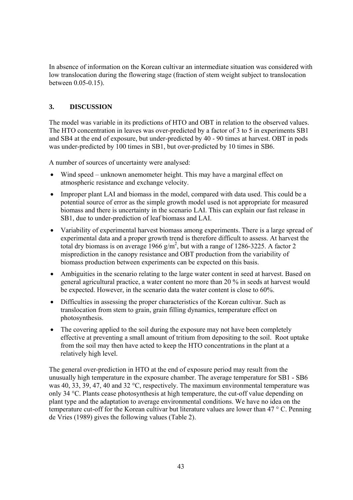In absence of information on the Korean cultivar an intermediate situation was considered with low translocation during the flowering stage (fraction of stem weight subject to translocation between 0.05-0.15).

## **3. DISCUSSION**

The model was variable in its predictions of HTO and OBT in relation to the observed values. The HTO concentration in leaves was over-predicted by a factor of 3 to 5 in experiments SB1 and SB4 at the end of exposure, but under-predicted by 40 - 90 times at harvest. OBT in pods was under-predicted by 100 times in SB1, but over-predicted by 10 times in SB6.

A number of sources of uncertainty were analysed:

- Wind speed unknown anemometer height. This may have a marginal effect on atmospheric resistance and exchange velocity.
- Improper plant LAI and biomass in the model, compared with data used. This could be a potential source of error as the simple growth model used is not appropriate for measured biomass and there is uncertainty in the scenario LAI. This can explain our fast release in SB1, due to under-prediction of leaf biomass and LAI.
- Variability of experimental harvest biomass among experiments. There is a large spread of experimental data and a proper growth trend is therefore difficult to assess. At harvest the total dry biomass is on average  $1966$  g/m<sup>2</sup>, but with a range of 1286-3225. A factor 2 misprediction in the canopy resistance and OBT production from the variability of biomass production between experiments can be expected on this basis.
- Ambiguities in the scenario relating to the large water content in seed at harvest. Based on general agricultural practice, a water content no more than 20 % in seeds at harvest would be expected. However, in the scenario data the water content is close to 60%.
- Difficulties in assessing the proper characteristics of the Korean cultivar. Such as translocation from stem to grain, grain filling dynamics, temperature effect on photosynthesis.
- The covering applied to the soil during the exposure may not have been completely effective at preventing a small amount of tritium from depositing to the soil. Root uptake from the soil may then have acted to keep the HTO concentrations in the plant at a relatively high level.

The general over-prediction in HTO at the end of exposure period may result from the unusually high temperature in the exposure chamber. The average temperature for SB1 - SB6 was 40, 33, 39, 47, 40 and 32 °C, respectively. The maximum environmental temperature was only 34 °C. Plants cease photosynthesis at high temperature, the cut-off value depending on plant type and the adaptation to average environmental conditions. We have no idea on the temperature cut-off for the Korean cultivar but literature values are lower than 47 ° C. Penning de Vries (1989) gives the following values (Table 2).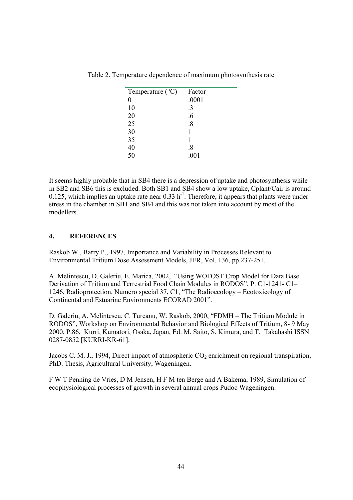| Temperature $(^{\circ}C)$ | Factor |
|---------------------------|--------|
| 0                         | .0001  |
| 10                        |        |
| 20                        | .6     |
| 25                        | .8     |
| 30                        |        |
| 35                        |        |
| 40                        | .8     |
| 50                        | .001   |

Table 2. Temperature dependence of maximum photosynthesis rate

It seems highly probable that in SB4 there is a depression of uptake and photosynthesis while in SB2 and SB6 this is excluded. Both SB1 and SB4 show a low uptake, Cplant/Cair is around 0.125, which implies an uptake rate near  $0.33$  h<sup>-1</sup>. Therefore, it appears that plants were under stress in the chamber in SB1 and SB4 and this was not taken into account by most of the modellers.

## **4. REFERENCES**

Raskob W., Barry P., 1997, Importance and Variability in Processes Relevant to Environmental Tritium Dose Assessment Models, JER, Vol. 136, pp.237-251.

A. Melintescu, D. Galeriu, E. Marica, 2002, "Using WOFOST Crop Model for Data Base Derivation of Tritium and Terrestrial Food Chain Modules in RODOS", P. C1-1241- C1– 1246, Radioprotection, Numero special 37, C1, "The Radioecology – Ecotoxicology of Continental and Estuarine Environments ECORAD 2001".

D. Galeriu, A. Melintescu, C. Turcanu, W. Raskob, 2000, "FDMH – The Tritium Module in RODOS", Workshop on Environmental Behavior and Biological Effects of Tritium, 8- 9 May 2000, P.86, Kurri, Kumatori, Osaka, Japan, Ed. M. Saito, S. Kimura, and T. Takahashi ISSN 0287-0852 [KURRI-KR-61].

Jacobs C. M. J., 1994, Direct impact of atmospheric  $CO<sub>2</sub>$  enrichment on regional transpiration, PhD. Thesis, Agricultural University, Wageningen.

F W T Penning de Vries, D M Jensen, H F M ten Berge and A Bakema, 1989, Simulation of ecophysiological processes of growth in several annual crops Pudoc Wageningen.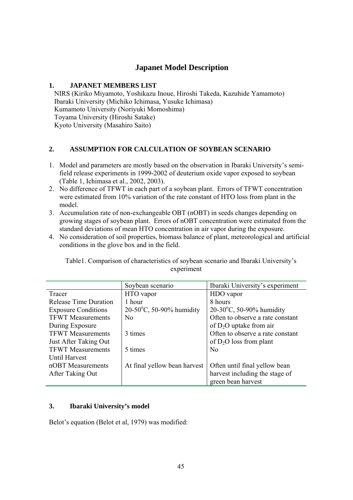# **Japanet Model Description**

## **1. JAPANET MEMBERS LIST**

 NIRS (Kiriko Miyamoto, Yoshikazu Inoue, Hiroshi Takeda, Kazuhide Yamamoto) Ibaraki University (Michiko Ichimasa, Yusuke Ichimasa) Kumamoto University (Noriyuki Momoshima) Toyama University (Hiroshi Satake) Kyoto University (Masahiro Saito)

## **2. ASSUMPTION FOR CALCULATION OF SOYBEAN SCENARIO**

- 1. Model and parameters are mostly based on the observation in Ibaraki University's semifield release experiments in 1999-2002 of deuterium oxide vapor exposed to soybean (Table 1, Ichimasa et al., 2002, 2003).
- 2. No difference of TFWT in each part of a soybean plant. Errors of TFWT concentration were estimated from 10% variation of the rate constant of HTO loss from plant in the model.
- 3. Accumulation rate of non-exchangeable OBT (nOBT) in seeds changes depending on growing stages of soybean plant. Errors of nOBT concentration were estimated from the standard deviations of mean HTO concentration in air vapor during the exposure.
- 4. No consideration of soil properties, biomass balance of plant, meteorological and artificial conditions in the glove box and in the field.

Table1. Comparison of characteristics of soybean scenario and Ibaraki University's experiment

|                              | Soybean scenario                   | Ibaraki University's experiment     |
|------------------------------|------------------------------------|-------------------------------------|
| Tracer                       | HTO vapor                          | HDO vapor                           |
| <b>Release Time Duration</b> | 1 hour                             | 8 hours                             |
| <b>Exposure Conditions</b>   | $20-50^{\circ}$ C, 50-90% humidity | 20-30 $^{\circ}$ C, 50-90% humidity |
| <b>TFWT</b> Measurements     | N <sub>0</sub>                     | Often to observe a rate constant    |
| During Exposure              |                                    | of $D_2O$ uptake from air           |
| <b>TFWT</b> Measurements     | 3 times                            | Often to observe a rate constant    |
| Just After Taking Out        |                                    | of $D_2O$ loss from plant           |
| <b>TFWT</b> Measurements     | 5 times                            | N <sub>0</sub>                      |
| Until Harvest                |                                    |                                     |
| nOBT Measurements            | At final yellow bean harvest       | Often until final yellow bean       |
| After Taking Out             |                                    | harvest including the stage of      |
|                              |                                    | green bean harvest                  |

## **3. Ibaraki University's model**

Belot's equation (Belot et al, 1979) was modified: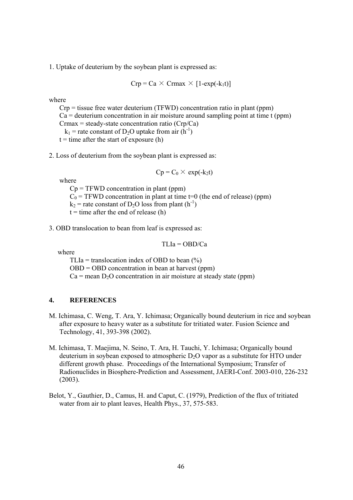1. Uptake of deuterium by the soybean plant is expressed as:

$$
Crp = Ca \times Crmax \times [1-exp(-k_1t)]
$$

where

 Crp = tissue free water deuterium (TFWD) concentration ratio in plant (ppm)  $Ca =$  deuterium concentration in air moisture around sampling point at time t (ppm)  $C$ rmax = steady-state concentration ratio ( $Crp/Ca$ )  $k_1$  = rate constant of D<sub>2</sub>O uptake from air (h<sup>-1</sup>)

 $t =$  time after the start of exposure (h)

2. Loss of deuterium from the soybean plant is expressed as:

$$
Cp = C_0 \times \exp(-k_2 t)
$$

where

 $Cp = TFWD$  concentration in plant (ppm)  $C_0$  = TFWD concentration in plant at time t=0 (the end of release) (ppm)  $k_2$  = rate constant of D<sub>2</sub>O loss from plant (h<sup>-1</sup>)  $t =$  time after the end of release (h)

3. OBD translocation to bean from leaf is expressed as:

$$
TLIa = OBD/Ca
$$

where

TLIa = translocation index of OBD to bean  $(\% )$  $OBD = OBD$  concentration in bean at harvest (ppm)  $Ca =$  mean  $D_2O$  concentration in air moisture at steady state (ppm)

#### **4. REFERENCES**

- M. Ichimasa, C. Weng, T. Ara, Y. Ichimasa; Organically bound deuterium in rice and soybean after exposure to heavy water as a substitute for tritiated water. Fusion Science and Technology, 41, 393-398 (2002).
- M. Ichimasa, T. Maejima, N. Seino, T. Ara, H. Tauchi, Y. Ichimasa; Organically bound deuterium in soybean exposed to atmospheric  $D_2O$  vapor as a substitute for HTO under different growth phase. Proceedings of the International Symposium; Transfer of Radionuclides in Biosphere-Prediction and Assessment, JAERI-Conf. 2003-010, 226-232 (2003).
- Belot, Y., Gauthier, D., Camus, H. and Caput, C. (1979), Prediction of the flux of tritiated water from air to plant leaves, Health Phys., 37, 575-583.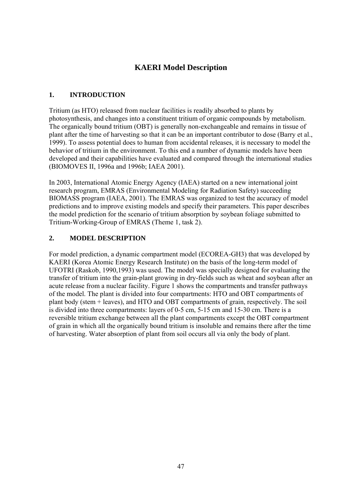# **KAERI Model Description**

## **1. INTRODUCTION**

Tritium (as HTO) released from nuclear facilities is readily absorbed to plants by photosynthesis, and changes into a constituent tritium of organic compounds by metabolism. The organically bound tritium (OBT) is generally non-exchangeable and remains in tissue of plant after the time of harvesting so that it can be an important contributor to dose (Barry et al., 1999). To assess potential does to human from accidental releases, it is necessary to model the behavior of tritium in the environment. To this end a number of dynamic models have been developed and their capabilities have evaluated and compared through the international studies (BIOMOVES II, 1996a and 1996b; IAEA 2001).

In 2003, International Atomic Energy Agency (IAEA) started on a new international joint research program, EMRAS (Environmental Modeling for Radiation Safety) succeeding BIOMASS program (IAEA, 2001). The EMRAS was organized to test the accuracy of model predictions and to improve existing models and specify their parameters. This paper describes the model prediction for the scenario of tritium absorption by soybean foliage submitted to Tritium-Working-Group of EMRAS (Theme 1, task 2).

## **2. MODEL DESCRIPTION**

For model prediction, a dynamic compartment model (ECOREA-GH3) that was developed by KAERI (Korea Atomic Energy Research Institute) on the basis of the long-term model of UFOTRI (Raskob, 1990,1993) was used. The model was specially designed for evaluating the transfer of tritium into the grain-plant growing in dry-fields such as wheat and soybean after an acute release from a nuclear facility. Figure 1 shows the compartments and transfer pathways of the model. The plant is divided into four compartments: HTO and OBT compartments of plant body (stem + leaves), and HTO and OBT compartments of grain, respectively. The soil is divided into three compartments: layers of 0-5 cm, 5-15 cm and 15-30 cm. There is a reversible tritium exchange between all the plant compartments except the OBT compartment of grain in which all the organically bound tritium is insoluble and remains there after the time of harvesting. Water absorption of plant from soil occurs all via only the body of plant.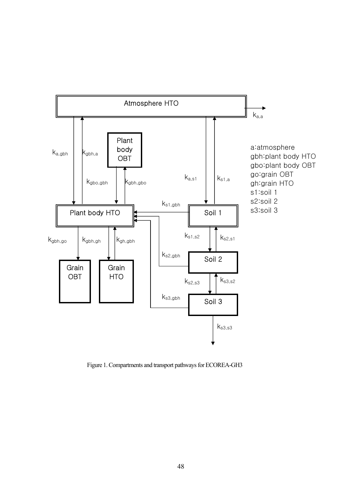

Figure 1. Compartments and transport pathways for ECOREA-GH3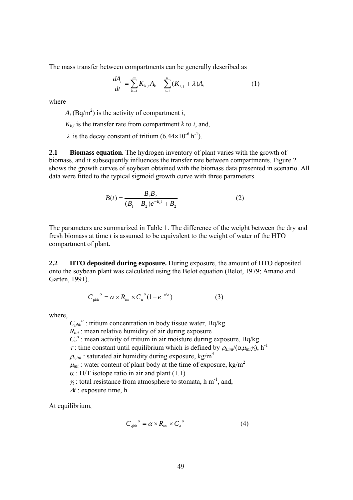The mass transfer between compartments can be generally described as

$$
\frac{dA_i}{dt} = \sum_{k=1}^{m} K_{k,i} A_k - \sum_{i=1}^{n} (K_{i,j} + \lambda) A_i
$$
 (1)

where

 $A_i$  (Bq/m<sup>2</sup>) is the activity of compartment *i*,

 $K_{ki}$  is the transfer rate from compartment *k* to *i*, and,

 $\lambda$  is the decay constant of tritium (6.44×10<sup>-6</sup> h<sup>-1</sup>).

**2.1 Biomass equation.** The hydrogen inventory of plant varies with the growth of biomass, and it subsequently influences the transfer rate between compartments. Figure 2 shows the growth curves of soybean obtained with the biomass data presented in scenario. All data were fitted to the typical sigmoid growth curve with three parameters.

$$
B(t) = \frac{B_1 B_2}{(B_1 - B_2)e^{-B_3 t} + B_2}
$$
 (2)

The parameters are summarized in Table 1. The difference of the weight between the dry and fresh biomass at time *t* is assumed to be equivalent to the weight of water of the HTO compartment of plant.

**2.2 HTO deposited during exposure.** During exposure, the amount of HTO deposited onto the soybean plant was calculated using the Belot equation (Belot, 1979; Amano and Garten, 1991).

$$
C_{gbh}^{\qquad o} = \alpha \times R_{ini} \times C_a^{\qquad o} (1 - e^{-\tau \Delta t}) \tag{3}
$$

where,

 $C_{ghh}^o$ : tritium concentration in body tissue water, Bq/kg *R<sub>ini</sub>* : mean relative humidity of air during exposure  $C_a^o$ : mean activity of tritium in air moisture during exposure, Bq/kg  $\tau$ : time constant until equilibrium which is defined by  $\rho_{s,ini}/(\alpha\mu_{ini}\gamma_t)$ , h<sup>-1</sup>  $\rho_{s,ini}$ : saturated air humidity during exposure, kg/m<sup>3</sup>  $\mu_{ini}$ : water content of plant body at the time of exposure, kg/m<sup>2</sup>  $\alpha$  : H/T isotope ratio in air and plant (1.1)  $\gamma_t$ : total resistance from atmosphere to stomata, h m<sup>-1</sup>, and, <sup>∆</sup>*t* : exposure time, h

At equilibrium,

$$
C_{gbh}^{\quad o} = \alpha \times R_{ini} \times C_a^{\quad o} \tag{4}
$$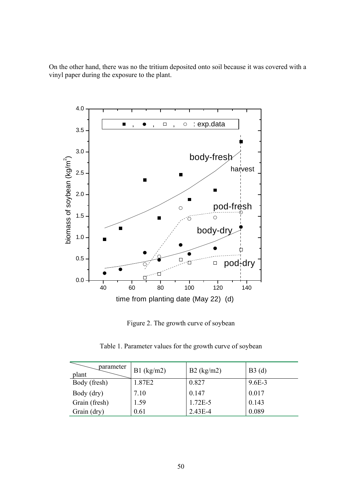On the other hand, there was no the tritium deposited onto soil because it was covered with a vinyl paper during the exposure to the plant.



Figure 2. The growth curve of soybean

Table 1. Parameter values for the growth curve of soybean

| parameter<br>plant | $B1$ (kg/m2) | $B2$ (kg/m2) | B3(d)      |
|--------------------|--------------|--------------|------------|
| Body (fresh)       | 1.87E2       | 0.827        | $9.6E - 3$ |
| Body (dry)         | 7.10         | 0.147        | 0.017      |
| Grain (fresh)      | 1.59         | $1.72E-5$    | 0.143      |
| Grain (dry)        | 0.61         | $2.43E - 4$  | 0.089      |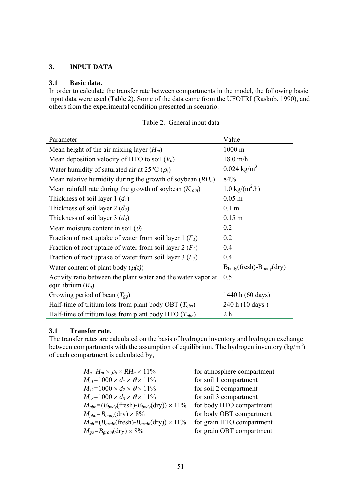## **3. INPUT DATA**

## **3.1 Basic data.**

In order to calculate the transfer rate between compartments in the model, the following basic input data were used (Table 2). Some of the data came from the UFOTRI (Raskob, 1990), and others from the experimental condition presented in scenario.

| Parameter                                                                            | Value                                |
|--------------------------------------------------------------------------------------|--------------------------------------|
| Mean height of the air mixing layer $(H_m)$                                          | $1000 \text{ m}$                     |
| Mean deposition velocity of HTO to soil $(V_d)$                                      | $18.0 \text{ m/h}$                   |
| Water humidity of saturated air at 25 $\rm{^{\circ}C}$ ( $\rho_{\rm{s}}$ )           | $0.024$ kg/m <sup>3</sup>            |
| Mean relative humidity during the growth of soybean $(RH_a)$                         | 84%                                  |
| Mean rainfall rate during the growth of soybean $(K_{rain})$                         | $1.0 \text{ kg/(m}^2 \cdot h)$       |
| Thickness of soil layer 1 $(d1)$                                                     | $0.05$ m                             |
| Thickness of soil layer 2 $(d_2)$                                                    | 0.1 <sub>m</sub>                     |
| Thickness of soil layer 3 $(d_3)$                                                    | $0.15$ m                             |
| Mean moisture content in soil $(\theta)$                                             | 0.2                                  |
| Fraction of root uptake of water from soil layer 1 $(F1)$                            | 0.2                                  |
| Fraction of root uptake of water from soil layer 2 $(F_2)$                           | 0.4                                  |
| Fraction of root uptake of water from soil layer 3 $(F_3)$                           | 0.4                                  |
| Water content of plant body $(\mu(t))$                                               | $B_{body}($ fresh)- $B_{body}($ dry) |
| Activity ratio between the plant water and the water vapor at<br>equilibrium $(R_a)$ | 0.5                                  |
| Growing period of bean $(T_{gg})$                                                    | 1440 h (60 days)                     |
| Half-time of tritium loss from plant body OBT $(T_{gbo})$                            | 240 h (10 days)                      |
| Half-time of tritium loss from plant body HTO $(T_{gbh})$                            | 2 <sub>h</sub>                       |

|  | Table 2. General input data |  |  |
|--|-----------------------------|--|--|
|--|-----------------------------|--|--|

### **3.1 Transfer rate**.

The transfer rates are calculated on the basis of hydrogen inventory and hydrogen exchange between compartments with the assumption of equilibrium. The hydrogen inventory  $\frac{kg}{m^2}$ of each compartment is calculated by,

| $M_a=H_m\times \rho_s \times RH_a \times 11\%$                                               | for atmosphere compartment |
|----------------------------------------------------------------------------------------------|----------------------------|
| $M_{sl}$ =1000 × $d_l$ × $\theta$ × 11%                                                      | for soil 1 compartment     |
| $M_{s2}$ =1000 × $d_2$ × $\theta$ × 11%                                                      | for soil 2 compartment     |
| $M_{s3} = 1000 \times d_3 \times \theta \times 11\%$                                         | for soil 3 compartment     |
| $M_{\text{gbh}} = (B_{\text{body}}(\text{fresh}) - B_{\text{body}}(\text{dry})) \times 11\%$ | for body HTO compartment   |
| $M_{gbo} = B_{body}$ (dry) × 8%                                                              | for body OBT compartment   |
| $M_{gh} = (B_{grain}(\text{fresh}) - B_{grain}(\text{dry})) \times 11\%$                     | for grain HTO compartment  |
| $M_{go} = B_{grain}$ (dry) $\times 8\%$                                                      | for grain OBT compartment  |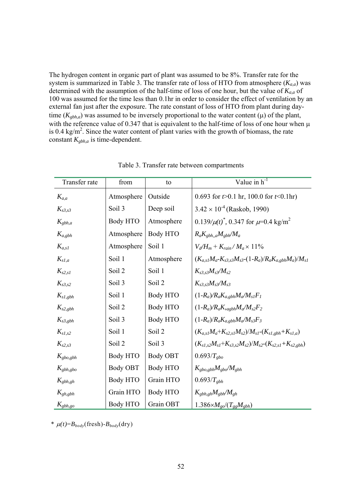The hydrogen content in organic part of plant was assumed to be 8%. Transfer rate for the system is summarized in Table 3. The transfer rate of loss of HTO from atmosphere  $(K_{a,a})$  was determined with the assumption of the half-time of loss of one hour, but the value of  $K_{a,a}$  of 100 was assumed for the time less than 0.1hr in order to consider the effect of ventilation by an external fan just after the exposure. The rate constant of loss of HTO from plant during daytime ( $K_{gbh,a}$ ) was assumed to be inversely proportional to the water content ( $\mu$ ) of the plant, with the reference value of 0.347 that is equivalent to the half-time of loss of one hour when  $\mu$ is 0.4 kg/m<sup>2</sup>. Since the water content of plant varies with the growth of biomass, the rate constant *Kgbh,a* is time-dependent.

| Transfer rate  | from              | to                | Value in $h^{-1}$                                                     |
|----------------|-------------------|-------------------|-----------------------------------------------------------------------|
| $K_{a,a}$      | Atmosphere        | Outside           | 0.693 for $t > 0.1$ hr, 100.0 for $t < 0.1$ hr)                       |
| $K_{s3,s3}$    | Soil <sub>3</sub> | Deep soil         | $3.42 \times 10^{-4}$ (Raskob, 1990)                                  |
| $K_{gbh,a}$    | Body HTO          | Atmosphere        | $0.139/\mu(t)^*$ , 0.347 for $\mu$ =0.4 kg/m <sup>2</sup>             |
| $K_{a, gbh}$   | Atmosphere        | Body HTO          | $R_a K_{gbh,a} M_{gbh} / M_a$                                         |
| $K_{a,s}$      | Atmosphere        | Soil 1            | $V_d/H_m + K_{rain}/M_a \times 11\%$                                  |
| $K_{s1,a}$     | Soil 1            | Atmosphere        | $(K_{a,s}M_{a}-K_{s3,s3}M_{s3}-(1-R_{a})/R_{a}K_{a,sbh}M_{a})/M_{s1}$ |
| $K_{s2,s1}$    | Soil 2            | Soil 1            | $K_{s3. s3}M_{s3}/M_{s2}$                                             |
| $K_{s3,s2}$    | Soil <sub>3</sub> | Soil 2            | $K_{s3}S_{s3}M_{s3}/M_{s3}$                                           |
| $K_{s1, gbh}$  | Soil 1            | Body HTO          | $(1-R_a)$ $R_a$ $K_{a,gbh}$ $M_a$ $M_s$ <sub>I</sub> $F_l$            |
| $K_{s2, gbh}$  | Soil 2            | Body HTO          | $(1-R_a)$ / $R_a$ K <sub>,agbh</sub> $M_a/M_{s2}F_2$                  |
| $K_{s3, gbh}$  | Soil <sub>3</sub> | Body HTO          | $(1-R_a)/R_aK_{a,gbh}M_a/M_{s3}F_3$                                   |
| $K_{sI,s2}$    | Soil 1            | Soil 2            | $(K_{a,s}M_a+K_{s2,s}M_{s2})/M_{s1}-(K_{s1,gbh}+K_{s1,a})$            |
| $K_{s2,s3}$    | Soil <sub>2</sub> | Soil <sub>3</sub> | $(K_{s1,s2}M_{s1}+K_{s3,s2}M_{s2})/M_{s2}-(K_{s2,s1}+K_{s2,eph})$     |
| $K_{gbo, gbh}$ | Body HTO          | <b>Body OBT</b>   | $0.693/T_{gbo}$                                                       |
| $K_{gbh, gbo}$ | Body OBT          | Body HTO          | $K_{gbo, gbh} M_{gbo} / M_{gbh}$                                      |
| $K_{gbh,gh}$   | Body HTO          | Grain HTO         | $0.693/T_{gbh}$                                                       |
| $K_{gh,gbh}$   | Grain HTO         | Body HTO          | $K_{gbh,gh}M_{gbh}/M_{gh}$                                            |
| $K_{gbh,go}$   | Body HTO          | Grain OBT         | $1.386 \times M_{g0}/(T_{gg}M_{gbh})$                                 |

Table 3. Transfer rate between compartments

\*  $\mu(t) = B_{body}(\text{fresh}) - B_{body}(\text{dry})$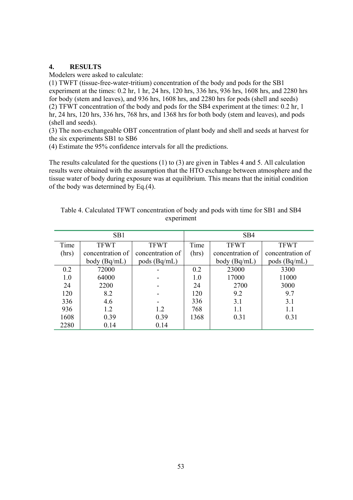## **4. RESULTS**

Modelers were asked to calculate:

(1) TWFT (tissue-free-water-tritium) concentration of the body and pods for the SB1 experiment at the times: 0.2 hr, 1 hr, 24 hrs, 120 hrs, 336 hrs, 936 hrs, 1608 hrs, and 2280 hrs for body (stem and leaves), and 936 hrs, 1608 hrs, and 2280 hrs for pods (shell and seeds) (2) TFWT concentration of the body and pods for the SB4 experiment at the times: 0.2 hr, 1 hr, 24 hrs, 120 hrs, 336 hrs, 768 hrs, and 1368 hrs for both body (stem and leaves), and pods (shell and seeds).

(3) The non-exchangeable OBT concentration of plant body and shell and seeds at harvest for the six experiments SB1 to SB6

(4) Estimate the 95% confidence intervals for all the predictions.

The results calculated for the questions (1) to (3) are given in Tables 4 and 5. All calculation results were obtained with the assumption that the HTO exchange between atmosphere and the tissue water of body during exposure was at equilibrium. This means that the initial condition of the body was determined by Eq.(4).

| SB1   |                  |                  |       | SB <sub>4</sub>  |                  |  |
|-------|------------------|------------------|-------|------------------|------------------|--|
| Time  | <b>TFWT</b>      | <b>TFWT</b>      | Time  | <b>TFWT</b>      | <b>TFWT</b>      |  |
| (hrs) | concentration of | concentration of | (hrs) | concentration of | concentration of |  |
|       | body $(Bq/mL)$   | pods $(Bq/mL)$   |       | body $(Bq/mL)$   | pods $(Bq/mL)$   |  |
| 0.2   | 72000            |                  | 0.2   | 23000            | 3300             |  |
| 1.0   | 64000            |                  | 1.0   | 17000            | 11000            |  |
| 24    | 2200             |                  | 24    | 2700             | 3000             |  |
| 120   | 8.2              |                  | 120   | 9.2              | 9.7              |  |
| 336   | 4.6              |                  | 336   | 3.1              | 3.1              |  |
| 936   | 1.2              | 1.2              | 768   | 1.1              | 1.1              |  |
| 1608  | 0.39             | 0.39             | 1368  | 0.31             | 0.31             |  |
| 2280  | 0.14             | 0.14             |       |                  |                  |  |

| Table 4. Calculated TFWT concentration of body and pods with time for SB1 and SB4 |
|-----------------------------------------------------------------------------------|
| experiment                                                                        |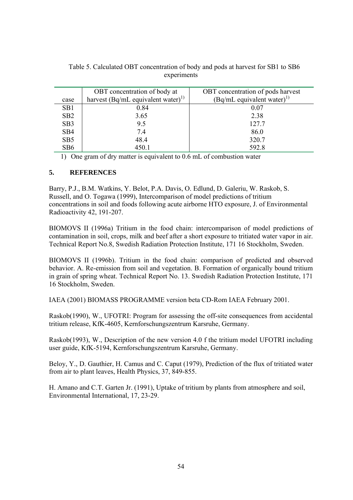|                 | OBT concentration of body at                   | OBT concentration of pods harvest        |
|-----------------|------------------------------------------------|------------------------------------------|
| case            | harvest (Bq/mL equivalent water) <sup>1)</sup> | $(Bq/mL$ equivalent water) <sup>1)</sup> |
| SB1             | 0.84                                           | 0.07                                     |
| SB2             | 3.65                                           | 2.38                                     |
| SB <sub>3</sub> | 9.5                                            | 127.7                                    |
| SB <sub>4</sub> | 7.4                                            | 86.0                                     |
| SB <sub>5</sub> | 48.4                                           | 320.7                                    |
| SB6             | 450.1                                          | 592.8                                    |

Table 5. Calculated OBT concentration of body and pods at harvest for SB1 to SB6 experiments

1) One gram of dry matter is equivalent to 0.6 mL of combustion water

## **5. REFERENCES**

Barry, P.J., B.M. Watkins, Y. Belot, P.A. Davis, O. Edlund, D. Galeriu, W. Raskob, S. Russell, and O. Togawa (1999), Intercomparison of model predictions of tritium concentrations in soil and foods following acute airborne HTO exposure, J. of Environmental Radioactivity 42, 191-207.

BIOMOVS II (1996a) Tritium in the food chain: intercomparison of model predictions of contamination in soil, crops, milk and beef after a short exposure to tritiated water vapor in air. Technical Report No.8, Swedish Radiation Protection Institute, 171 16 Stockholm, Sweden.

BIOMOVS II (1996b). Tritium in the food chain: comparison of predicted and observed behavior. A. Re-emission from soil and vegetation. B. Formation of organically bound tritium in grain of spring wheat. Technical Report No. 13. Swedish Radiation Protection Institute, 171 16 Stockholm, Sweden.

IAEA (2001) BIOMASS PROGRAMME version beta CD-Rom IAEA February 2001.

Raskob(1990), W., UFOTRI: Program for assessing the off-site consequences from accidental tritium release, KfK-4605, Kernforschungszentrum Karsruhe, Germany.

Raskob(1993), W., Description of the new version 4.0 f the tritium model UFOTRI including user guide, KfK-5194, Kernforschungszentrum Karsruhe, Germany.

Beloy, Y., D. Gauthier, H. Camus and C. Caput (1979), Prediction of the flux of tritiated water from air to plant leaves, Health Physics, 37, 849-855.

H. Amano and C.T. Garten Jr. (1991), Uptake of tritium by plants from atmosphere and soil, Environmental International, 17, 23-29.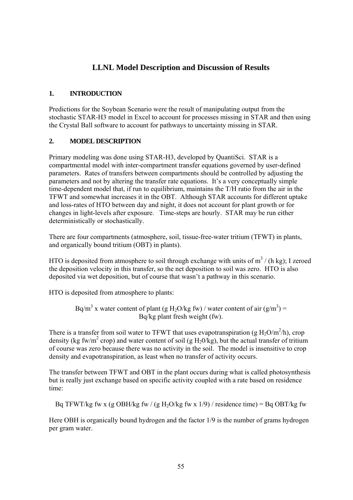# **LLNL Model Description and Discussion of Results**

## **1. INTRODUCTION**

Predictions for the Soybean Scenario were the result of manipulating output from the stochastic STAR-H3 model in Excel to account for processes missing in STAR and then using the Crystal Ball software to account for pathways to uncertainty missing in STAR.

## **2. MODEL DESCRIPTION**

Primary modeling was done using STAR-H3, developed by QuantiSci. STAR is a compartmental model with inter-compartment transfer equations governed by user-defined parameters. Rates of transfers between compartments should be controlled by adjusting the parameters and not by altering the transfer rate equations. It's a very conceptually simple time-dependent model that, if run to equilibrium, maintains the T/H ratio from the air in the TFWT and somewhat increases it in the OBT. Although STAR accounts for different uptake and loss-rates of HTO between day and night, it does not account for plant growth or for changes in light-levels after exposure. Time-steps are hourly. STAR may be run either deterministically or stochastically.

There are four compartments (atmosphere, soil, tissue-free-water tritium (TFWT) in plants, and organically bound tritium (OBT) in plants).

HTO is deposited from atmosphere to soil through exchange with units of  $m^3$  / (h kg); I zeroed the deposition velocity in this transfer, so the net deposition to soil was zero. HTO is also deposited via wet deposition, but of course that wasn't a pathway in this scenario.

HTO is deposited from atmosphere to plants:

Bq/m<sup>3</sup> x water content of plant (g H<sub>2</sub>O/kg fw) / water content of air (g/m<sup>3</sup>) = Bq/kg plant fresh weight (fw).

There is a transfer from soil water to TFWT that uses evapotranspiration (g  $H_2O/m^2/h$ ), crop density (kg fw/m<sup>2</sup> crop) and water content of soil (g  $H_20/kg$ ), but the actual transfer of tritium of course was zero because there was no activity in the soil. The model is insensitive to crop density and evapotranspiration, as least when no transfer of activity occurs.

The transfer between TFWT and OBT in the plant occurs during what is called photosynthesis but is really just exchange based on specific activity coupled with a rate based on residence time:

Bq TFWT/kg fw x (g OBH/kg fw / (g H<sub>2</sub>O/kg fw x 1/9) / residence time) = Bq OBT/kg fw

Here OBH is organically bound hydrogen and the factor 1/9 is the number of grams hydrogen per gram water.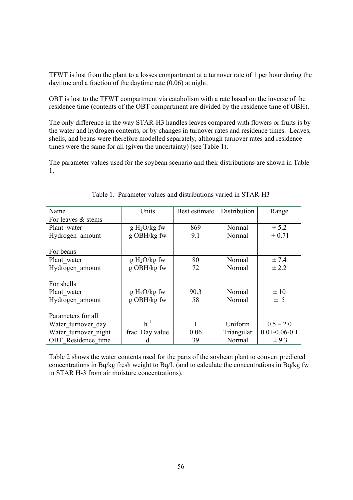TFWT is lost from the plant to a losses compartment at a turnover rate of 1 per hour during the daytime and a fraction of the daytime rate (0.06) at night.

OBT is lost to the TFWT compartment via catabolism with a rate based on the inverse of the residence time (contents of the OBT compartment are divided by the residence time of OBH).

The only difference in the way STAR-H3 handles leaves compared with flowers or fruits is by the water and hydrogen contents, or by changes in turnover rates and residence times. Leaves, shells, and beans were therefore modelled separately, although turnover rates and residence times were the same for all (given the uncertainty) (see Table 1).

The parameter values used for the soybean scenario and their distributions are shown in Table 1.

| Name                      | Units           | Best estimate | Distribution | Range               |
|---------------------------|-----------------|---------------|--------------|---------------------|
| For leaves & stems        |                 |               |              |                     |
| Plant water               | $g H2O/kg$ fw   | 869           | Normal       | $\pm$ 5.2           |
| Hydrogen amount           | g OBH/kg fw     | 9.1           | Normal       | ± 0.71              |
|                           |                 |               |              |                     |
| For beans                 |                 |               |              |                     |
| Plant water               | $g H2O/kg$ fw   | 80            | Normal       | ± 7.4               |
| Hydrogen amount           | g OBH/kg fw     | 72            | Normal       | ± 2.2               |
|                           |                 |               |              |                     |
| For shells                |                 |               |              |                     |
| Plant water               | $g H2O/kg$ fw   | 90.3          | Normal       | $\pm 10$            |
| Hydrogen amount           | g OBH/kg fw     | 58            | Normal       | $\pm$ 5             |
|                           |                 |               |              |                     |
| Parameters for all        |                 |               |              |                     |
| Water turnover day        | $h^{-1}$        |               | Uniform      | $0.5 - 2.0$         |
| Water turnover night      | frac. Day value | 0.06          | Triangular   | $0.01 - 0.06 - 0.1$ |
| <b>OBT</b> Residence time |                 | 39            | Normal       | $\pm$ 9.3           |

Table 1. Parameter values and distributions varied in STAR-H3

Table 2 shows the water contents used for the parts of the soybean plant to convert predicted concentrations in Bq/kg fresh weight to Bq/L (and to calculate the concentrations in Bq/kg fw in STAR H-3 from air moisture concentrations).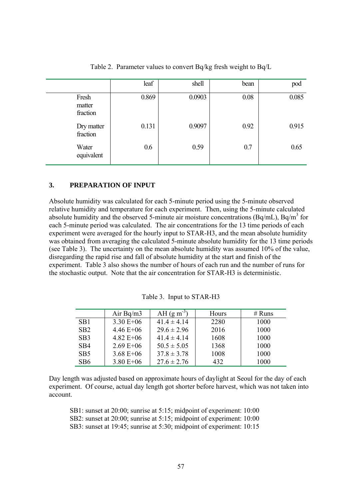|                             | leaf  | shell  | bean | pod   |
|-----------------------------|-------|--------|------|-------|
| Fresh<br>matter<br>fraction | 0.869 | 0.0903 | 0.08 | 0.085 |
| Dry matter<br>fraction      | 0.131 | 0.9097 | 0.92 | 0.915 |
| Water<br>equivalent         | 0.6   | 0.59   | 0.7  | 0.65  |

Table 2. Parameter values to convert Bq/kg fresh weight to Bq/L

#### **3. PREPARATION OF INPUT**

Absolute humidity was calculated for each 5-minute period using the 5-minute observed relative humidity and temperature for each experiment. Then, using the 5-minute calculated absolute humidity and the observed 5-minute air moisture concentrations (Bq/mL), Bq/m<sup>3</sup> for each 5-minute period was calculated. The air concentrations for the 13 time periods of each experiment were averaged for the hourly input to STAR-H3, and the mean absolute humidity was obtained from averaging the calculated 5-minute absolute humidity for the 13 time periods (see Table 3). The uncertainty on the mean absolute humidity was assumed 10% of the value, disregarding the rapid rise and fall of absolute humidity at the start and finish of the experiment. Table 3 also shows the number of hours of each run and the number of runs for the stochastic output. Note that the air concentration for STAR-H3 is deterministic.

|                  | Air Bq/m $3$  | AH $(g m^{-3})$ | Hours | $#$ Runs |
|------------------|---------------|-----------------|-------|----------|
| SB <sub>1</sub>  | $3.30 E + 06$ | $41.4 \pm 4.14$ | 2280  | 1000     |
| S <sub>B</sub> 2 | $4.46 E + 06$ | $29.6 \pm 2.96$ | 2016  | 1000     |
| SB3              | $4.82 E + 06$ | $41.4 \pm 4.14$ | 1608  | 1000     |
| SB <sub>4</sub>  | $2.69 E + 06$ | $50.5 \pm 5.05$ | 1368  | 1000     |
| SB <sub>5</sub>  | $3.68 E + 06$ | $37.8 \pm 3.78$ | 1008  | 1000     |
| SB <sub>6</sub>  | $3.80 E + 06$ | $27.6 \pm 2.76$ | 432   | 1000     |

Table 3. Input to STAR-H3

Day length was adjusted based on approximate hours of daylight at Seoul for the day of each experiment. Of course, actual day length got shorter before harvest, which was not taken into account.

SB1: sunset at 20:00; sunrise at 5:15; midpoint of experiment: 10:00 SB2: sunset at 20:00; sunrise at 5:15; midpoint of experiment: 10:00

SB3: sunset at 19:45; sunrise at 5:30; midpoint of experiment: 10:15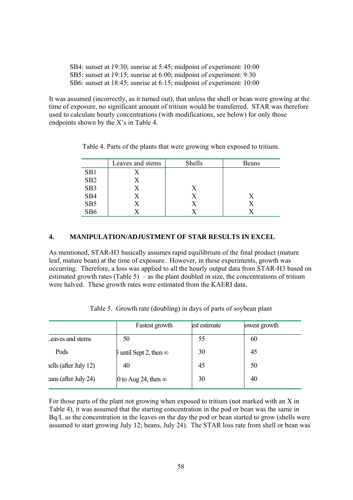| SB4: sunset at 19:30; sunrise at 5:45; midpoint of experiment: 10:00 |  |
|----------------------------------------------------------------------|--|
| SB5: sunset at 19:15; sunrise at 6:00; midpoint of experiment: 9:30  |  |
| SB6: sunset at 18:45; sunrise at 6:15; midpoint of experiment: 10:00 |  |

It was assumed (incorrectly, as it turned out), that unless the shell or bean were growing at the time of exposure, no significant amount of tritium would be transferred. STAR was therefore used to calculate hourly concentrations (with modifications, see below) for only those endpoints shown by the X's in Table 4.

|                 | Leaves and stems | Shells | Beans |
|-----------------|------------------|--------|-------|
| SB1             |                  |        |       |
| SB <sub>2</sub> |                  |        |       |
| SB <sub>3</sub> |                  | Х      |       |
| SB <sub>4</sub> |                  | X      | X     |
| SB <sub>5</sub> |                  |        |       |
| SB <sub>6</sub> |                  |        |       |

Table 4. Parts of the plants that were growing when exposed to tritium.

### **4. MANIPULATION/ADJUSTMENT OF STAR RESULTS IN EXCEL**

As mentioned, STAR-H3 basically assumes rapid equilibrium of the final product (mature leaf, mature bean) at the time of exposure. However, in these experiments, growth was occurring. Therefore, a loss was applied to all the hourly output data from STAR-H3 based on estimated growth rates (Table 5) – as the plant doubled in size, the concentrations of tritium were halved. These growth rates were estimated from the KAERI data.

|                      | Fastest growth                  | est estimate | lowest growth |
|----------------------|---------------------------------|--------------|---------------|
| Leaves and stems     | 50                              | 55           | 60            |
| Pods                 | $5$ until Sept 2, then $\infty$ | 30           | 45            |
| ells (after July 12) | 40                              | 45           | 50            |
| eans (after July 24) | 0 to Aug 24, then $\infty$      | 30           | 40            |

Table 5. Growth rate (doubling) in days of parts of soybean plant

For those parts of the plant not growing when exposed to tritium (not marked with an X in Table 4), it was assumed that the starting concentration in the pod or bean was the same in Bq/L as the concentration in the leaves on the day the pod or bean started to grow (shells were assumed to start growing July 12; beans, July 24). The STAR loss rate from shell or bean was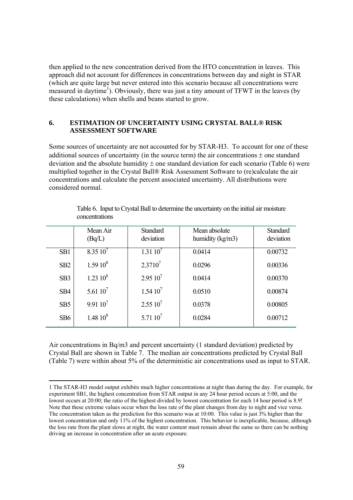then applied to the new concentration derived from the HTO concentration in leaves. This approach did not account for differences in concentrations between day and night in STAR (which are quite large but never entered into this scenario because all concentrations were measured in daytime<sup>1</sup>). Obviously, there was just a tiny amount of TFWT in the leaves (by these calculations) when shells and beans started to grow.

## **6. ESTIMATION OF UNCERTAINTY USING CRYSTAL BALL® RISK ASSESSMENT SOFTWARE**

Some sources of uncertainty are not accounted for by STAR-H3. To account for one of these additional sources of uncertainty (in the source term) the air concentrations  $\pm$  one standard deviation and the absolute humidity  $\pm$  one standard deviation for each scenario (Table 6) were multiplied together in the Crystal Ball® Risk Assessment Software to (re)calculate the air concentrations and calculate the percent associated uncertainty. All distributions were considered normal.

|                 | Mean Air<br>(Bq/L) | <b>Standard</b><br>deviation | Mean absolute<br>humidity $(kg/m3)$ | <b>Standard</b><br>deviation |
|-----------------|--------------------|------------------------------|-------------------------------------|------------------------------|
| SB1             | $8.3510^{7}$       | $1.31\,10'$                  | 0.0414                              | 0.00732                      |
| SB <sub>2</sub> | $1.5910^{8}$       | $2.3710^{7}$                 | 0.0296                              | 0.00336                      |
| SB <sub>3</sub> | $1.23\ 10^8$       | $2.95\,10^7$                 | 0.0414                              | 0.00370                      |
| SB <sub>4</sub> | 5.61 $10^7$        | $1.5410^{7}$                 | 0.0510                              | 0.00874                      |
| SB <sub>5</sub> | $9.91\,10^7$       | $2.5510^7$                   | 0.0378                              | 0.00805                      |
| SB <sub>6</sub> | $1.4810^{8}$       | $5.71~10^7$                  | 0.0284                              | 0.00712                      |

Table 6. Input to Crystal Ball to determine the uncertainty on the initial air moisture concentrations

Air concentrations in Bq/m3 and percent uncertainty (1 standard deviation) predicted by Crystal Ball are shown in Table 7. The median air concentrations predicted by Crystal Ball (Table 7) were within about 5% of the deterministic air concentrations used as input to STAR.

<sup>1</sup> The STAR-H3 model output exhibits much higher concentrations at night than during the day. For example, for experiment SB1, the highest concentration from STAR output in any 24 hour period occurs at 5:00, and the lowest occurs at 20:00; the ratio of the highest divided by lowest concentration for each 14 hour period is 8.9! Note that these extreme values occur when the loss rate of the plant changes from day to night and vice versa. The concentration taken as the prediction for this scenario was at 10:00. This value is just 3% higher than the lowest concentration and only 11% of the highest concentration. This behavior is inexplicable, because, although the loss rate from the plant slows at night, the water content must remain about the same so there can be nothing driving an increase in concentration after an acute exposure.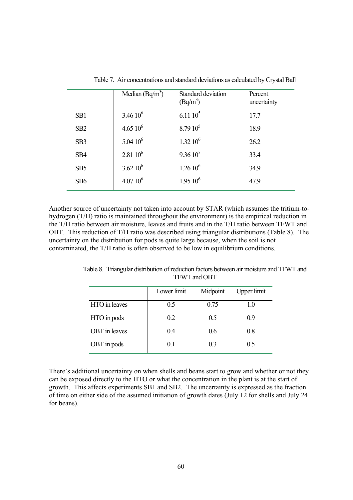|                 | Median $(Bq/m^3)$ | Standard deviation<br>$(Bq/m^3)$ | Percent<br>uncertainty |
|-----------------|-------------------|----------------------------------|------------------------|
| SB1             | $3.4610^{6}$      | $6.11\,10^5$                     | 17.7                   |
| SB <sub>2</sub> | $4.6510^{6}$      | $8.7910^5$                       | 18.9                   |
| SB <sub>3</sub> | $5.0410^{6}$      | $1.32\ 10^6$                     | 26.2                   |
| SB <sub>4</sub> | $2.81\ 10^6$      | $9.3610^5$                       | 33.4                   |
| SB <sub>5</sub> | $3.62\ 10^6$      | $1.2610^6$                       | 34.9                   |
| SB <sub>6</sub> | $4.0710^{6}$      | $1.9510^6$                       | 47.9                   |

Table 7. Air concentrations and standard deviations as calculated by Crystal Ball

Another source of uncertainty not taken into account by STAR (which assumes the tritium-tohydrogen (T/H) ratio is maintained throughout the environment) is the empirical reduction in the T/H ratio between air moisture, leaves and fruits and in the T/H ratio between TFWT and OBT. This reduction of T/H ratio was described using triangular distributions (Table 8). The uncertainty on the distribution for pods is quite large because, when the soil is not contaminated, the T/H ratio is often observed to be low in equilibrium conditions.

|                      | Lower limit | Midpoint | <b>Upper</b> limit |
|----------------------|-------------|----------|--------------------|
| HTO in leaves        | 0.5         | 0.75     | 1.0                |
| HTO in pods          | 0.2         | 0.5      | 0.9                |
| <b>OBT</b> in leaves | 0.4         | 0.6      | 0.8                |
| OBT in pods          | 01          | 0.3      | 0.5                |
|                      |             |          |                    |

Table 8. Triangular distribution of reduction factors between air moisture and TFWT and TFWT and OBT

There's additional uncertainty on when shells and beans start to grow and whether or not they can be exposed directly to the HTO or what the concentration in the plant is at the start of growth. This affects experiments SB1 and SB2. The uncertainty is expressed as the fraction of time on either side of the assumed initiation of growth dates (July 12 for shells and July 24 for beans).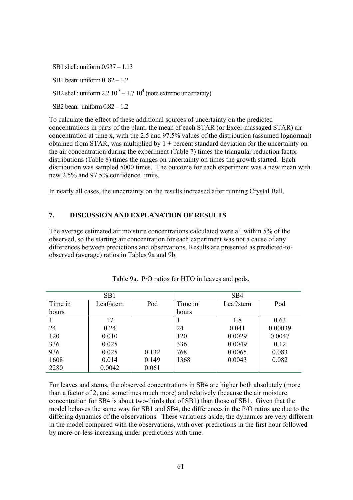SB1 shell: uniform 0.937 – 1.13

SB1 bean: uniform 0. 82 – 1.2

SB2 shell: uniform  $2.2 \times 10^3 - 1.7 \times 10^4$  (note extreme uncertainty)

SB2 bean: uniform  $0.82 - 1.2$ 

To calculate the effect of these additional sources of uncertainty on the predicted concentrations in parts of the plant, the mean of each STAR (or Excel-massaged STAR) air concentration at time x, with the 2.5 and 97.5% values of the distribution (assumed lognormal) obtained from STAR, was multiplied by  $1 \pm$  percent standard deviation for the uncertainty on the air concentration during the experiment (Table 7) times the triangular reduction factor distributions (Table 8) times the ranges on uncertainty on times the growth started. Each distribution was sampled 5000 times. The outcome for each experiment was a new mean with new 2.5% and 97.5% confidence limits.

In nearly all cases, the uncertainty on the results increased after running Crystal Ball.

### **7. DISCUSSION AND EXPLANATION OF RESULTS**

The average estimated air moisture concentrations calculated were all within 5% of the observed, so the starting air concentration for each experiment was not a cause of any differences between predictions and observations. Results are presented as predicted-toobserved (average) ratios in Tables 9a and 9b.

| SB <sub>1</sub> |           |       | SB <sub>4</sub> |           |         |
|-----------------|-----------|-------|-----------------|-----------|---------|
| Time in         | Leaf/stem | Pod   | Time in         | Leaf/stem | Pod     |
| hours           |           |       | hours           |           |         |
|                 | 17        |       |                 | 1.8       | 0.63    |
| 24              | 0.24      |       | 24              | 0.041     | 0.00039 |
| 120             | 0.010     |       | 120             | 0.0029    | 0.0047  |
| 336             | 0.025     |       | 336             | 0.0049    | 0.12    |
| 936             | 0.025     | 0.132 | 768             | 0.0065    | 0.083   |
| 1608            | 0.014     | 0.149 | 1368            | 0.0043    | 0.082   |
| 2280            | 0.0042    | 0.061 |                 |           |         |

Table 9a. P/O ratios for HTO in leaves and pods.

For leaves and stems, the observed concentrations in SB4 are higher both absolutely (more than a factor of 2, and sometimes much more) and relatively (because the air moisture concentration for SB4 is about two-thirds that of SB1) than those of SB1. Given that the model behaves the same way for SB1 and SB4, the differences in the P/O ratios are due to the differing dynamics of the observations. These variations aside, the dynamics are very different in the model compared with the observations, with over-predictions in the first hour followed by more-or-less increasing under-predictions with time.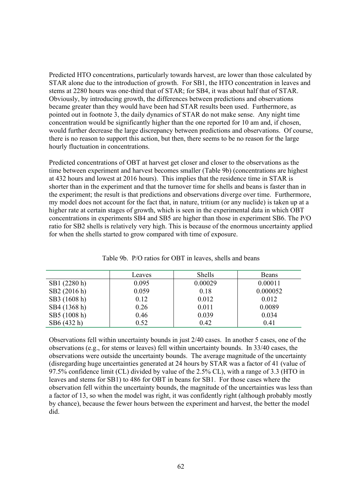Predicted HTO concentrations, particularly towards harvest, are lower than those calculated by STAR alone due to the introduction of growth. For SB1, the HTO concentration in leaves and stems at 2280 hours was one-third that of STAR; for SB4, it was about half that of STAR. Obviously, by introducing growth, the differences between predictions and observations became greater than they would have been had STAR results been used. Furthermore, as pointed out in footnote 3, the daily dynamics of STAR do not make sense. Any night time concentration would be significantly higher than the one reported for 10 am and, if chosen, would further decrease the large discrepancy between predictions and observations. Of course, there is no reason to support this action, but then, there seems to be no reason for the large hourly fluctuation in concentrations.

Predicted concentrations of OBT at harvest get closer and closer to the observations as the time between experiment and harvest becomes smaller (Table 9b) (concentrations are highest at 432 hours and lowest at 2016 hours). This implies that the residence time in STAR is shorter than in the experiment and that the turnover time for shells and beans is faster than in the experiment; the result is that predictions and observations diverge over time. Furthermore, my model does not account for the fact that, in nature, tritium (or any nuclide) is taken up at a higher rate at certain stages of growth, which is seen in the experimental data in which OBT concentrations in experiments SB4 and SB5 are higher than those in experiment SB6. The P/O ratio for SB2 shells is relatively very high. This is because of the enormous uncertainty applied for when the shells started to grow compared with time of exposure.

|              | Leaves | Shells  | Beans    |
|--------------|--------|---------|----------|
| SB1 (2280 h) | 0.095  | 0.00029 | 0.00011  |
| SB2 (2016 h) | 0.059  | 0.18    | 0.000052 |
| SB3 (1608 h) | 0.12   | 0.012   | 0.012    |
| SB4 (1368 h) | 0.26   | 0.011   | 0.0089   |
| SB5 (1008 h) | 0.46   | 0.039   | 0.034    |
| SB6 (432 h)  | 0.52   | 0.42    | 0.41     |

Table 9b. P/O ratios for OBT in leaves, shells and beans

Observations fell within uncertainty bounds in just 2/40 cases. In another 5 cases, one of the observations (e.g., for stems or leaves) fell within uncertainty bounds. In 33/40 cases, the observations were outside the uncertainty bounds. The average magnitude of the uncertainty (disregarding huge uncertainties generated at 24 hours by STAR was a factor of 41 (value of 97.5% confidence limit (CL) divided by value of the 2.5% CL), with a range of 3.3 (HTO in leaves and stems for SB1) to 486 for OBT in beans for SB1. For those cases where the observation fell within the uncertainty bounds, the magnitude of the uncertainties was less than a factor of 13, so when the model was right, it was confidently right (although probably mostly by chance), because the fewer hours between the experiment and harvest, the better the model did.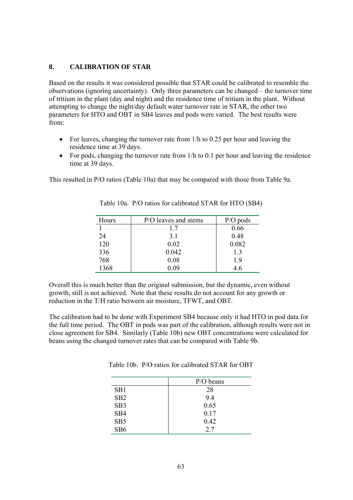## **8. CALIBRATION OF STAR**

Based on the results it was considered possible that STAR could be calibrated to resemble the observations (ignoring uncertainty). Only three parameters can be changed – the turnover time of tritium in the plant (day and night) and the residence time of tritium in the plant. Without attempting to change the night/day default water turnover rate in STAR, the other two parameters for HTO and OBT in SB4 leaves and pods were varied. The best results were from:

- For leaves, changing the turnover rate from 1/h to 0.25 per hour and leaving the residence time at 39 days.
- For pods, changing the turnover rate from 1/h to 0.1 per hour and leaving the residence time at 39 days.

This resulted in P/O ratios (Table 10a) that may be compared with those from Table 9a.

| Hours | P/O leaves and stems | $P/O$ pods |
|-------|----------------------|------------|
|       | 17                   | 0.66       |
| 24    | 3.1                  | 0.48       |
| 120   | 0.02                 | 0.082      |
| 336   | 0.042                | 1.3        |
| 768   | 0.08                 | 19         |
| 1368  | 0.09                 | 4.6        |

Table 10a. P/O ratios for calibrated STAR for HTO (SB4)

Overall this is much better than the original submission, but the dynamic, even without growth, still is not achieved. Note that these results do not account for any growth or reduction in the T/H ratio between air moisture, TFWT, and OBT.

The calibration had to be done with Experiment SB4 because only it had HTO in pod data for the full time period. The OBT in pods was part of the calibration, although results were not in close agreement for SB4. Similarly (Table 10b) new OBT concentrations were calculated for beans using the changed turnover rates that can be compared with Table 9b.

Table 10b. P/O ratios for calibrated STAR for OBT

|                 | $P/O$ beans |
|-----------------|-------------|
| SB <sub>1</sub> | 28          |
| SB2             | 9.4         |
| SB <sub>3</sub> | 0.65        |
| SB4             | 0.17        |
| SB <sub>5</sub> | 0.42        |
| SB <sub>6</sub> | 2.7         |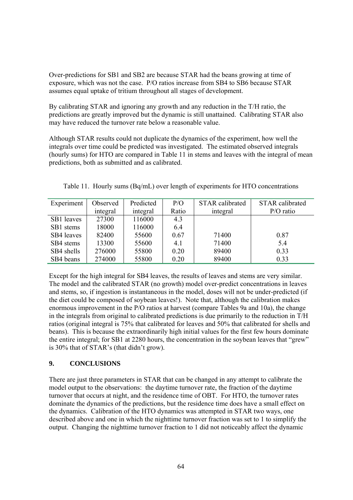Over-predictions for SB1 and SB2 are because STAR had the beans growing at time of exposure, which was not the case. P/O ratios increase from SB4 to SB6 because STAR assumes equal uptake of tritium throughout all stages of development.

By calibrating STAR and ignoring any growth and any reduction in the T/H ratio, the predictions are greatly improved but the dynamic is still unattained. Calibrating STAR also may have reduced the turnover rate below a reasonable value.

Although STAR results could not duplicate the dynamics of the experiment, how well the integrals over time could be predicted was investigated. The estimated observed integrals (hourly sums) for HTO are compared in Table 11 in stems and leaves with the integral of mean predictions, both as submitted and as calibrated.

| Experiment | Observed | Predicted | P/O   | <b>STAR</b> calibrated | <b>STAR</b> calibrated |
|------------|----------|-----------|-------|------------------------|------------------------|
|            | integral | integral  | Ratio | integral               | $P/O$ ratio            |
| SB1 leaves | 27300    | 116000    | 4.3   |                        |                        |
| SB1 stems  | 18000    | 116000    | 6.4   |                        |                        |
| SB4 leaves | 82400    | 55600     | 0.67  | 71400                  | 0.87                   |
| SB4 stems  | 13300    | 55600     | 4.1   | 71400                  | 5.4                    |
| SB4 shells | 276000   | 55800     | 0.20  | 89400                  | 0.33                   |
| SB4 beans  | 274000   | 55800     | 0.20  | 89400                  | 0.33                   |

Table 11. Hourly sums (Bq/mL) over length of experiments for HTO concentrations

Except for the high integral for SB4 leaves, the results of leaves and stems are very similar. The model and the calibrated STAR (no growth) model over-predict concentrations in leaves and stems, so, if ingestion is instantaneous in the model, doses will not be under-predicted (if the diet could be composed of soybean leaves!). Note that, although the calibration makes enormous improvement in the P/O ratios at harvest (compare Tables 9a and 10a), the change in the integrals from original to calibrated predictions is due primarily to the reduction in T/H ratios (original integral is 75% that calibrated for leaves and 50% that calibrated for shells and beans). This is because the extraordinarily high initial values for the first few hours dominate the entire integral; for SB1 at 2280 hours, the concentration in the soybean leaves that "grew" is 30% that of STAR's (that didn't grow).

## **9. CONCLUSIONS**

There are just three parameters in STAR that can be changed in any attempt to calibrate the model output to the observations: the daytime turnover rate, the fraction of the daytime turnover that occurs at night, and the residence time of OBT. For HTO, the turnover rates dominate the dynamics of the predictions, but the residence time does have a small effect on the dynamics. Calibration of the HTO dynamics was attempted in STAR two ways, one described above and one in which the nighttime turnover fraction was set to 1 to simplify the output. Changing the nighttime turnover fraction to 1 did not noticeably affect the dynamic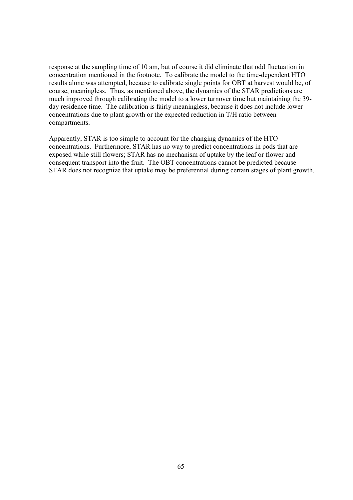response at the sampling time of 10 am, but of course it did eliminate that odd fluctuation in concentration mentioned in the footnote. To calibrate the model to the time-dependent HTO results alone was attempted, because to calibrate single points for OBT at harvest would be, of course, meaningless. Thus, as mentioned above, the dynamics of the STAR predictions are much improved through calibrating the model to a lower turnover time but maintaining the 39 day residence time. The calibration is fairly meaningless, because it does not include lower concentrations due to plant growth or the expected reduction in T/H ratio between compartments.

Apparently, STAR is too simple to account for the changing dynamics of the HTO concentrations. Furthermore, STAR has no way to predict concentrations in pods that are exposed while still flowers; STAR has no mechanism of uptake by the leaf or flower and consequent transport into the fruit. The OBT concentrations cannot be predicted because STAR does not recognize that uptake may be preferential during certain stages of plant growth.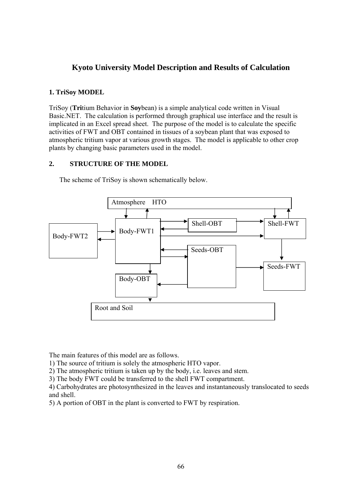# **Kyoto University Model Description and Results of Calculation**

## **1. TriSoy MODEL**

TriSoy (**Tri**tium Behavior in **Soy**bean) is a simple analytical code written in Visual Basic.NET. The calculation is performed through graphical use interface and the result is implicated in an Excel spread sheet. The purpose of the model is to calculate the specific activities of FWT and OBT contained in tissues of a soybean plant that was exposed to atmospheric tritium vapor at various growth stages. The model is applicable to other crop plants by changing basic parameters used in the model.

## **2. STRUCTURE OF THE MODEL**



The scheme of TriSoy is shown schematically below.

The main features of this model are as follows.

1) The source of tritium is solely the atmospheric HTO vapor.

2) The atmospheric tritium is taken up by the body, i.e. leaves and stem.

3) The body FWT could be transferred to the shell FWT compartment.

4) Carbohydrates are photosynthesized in the leaves and instantaneously translocated to seeds and shell.

5) A portion of OBT in the plant is converted to FWT by respiration.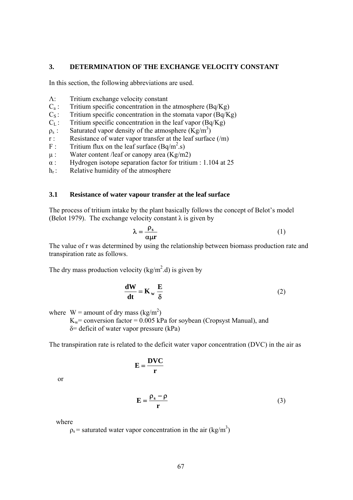#### **3. DETERMINATION OF THE EXCHANGE VELOCITY CONSTANT**

In this section, the following abbreviations are used.

- Λ: Tritium exchange velocity constant
- $C_a$ : Tritium specific concentration in the atmosphere (Bq/Kg)
- $C_s$ : Tritium specific concentration in the stomata vapor (Bq/Kg)
- $C_{\text{L}}$ : Tritium specific concentration in the leaf vapor (Bq/Kg)
- $\rho_s$ : Saturated vapor density of the atmosphere  $(Kg/m^3)$
- r : Resistance of water vapor transfer at the leaf surface  $(\overline{m})$ <br>F : Tritium flux on the leaf surface  $(Bq/m^2.s)$
- F : Tritium flux on the leaf surface  $(Bq/m^2 \text{ s})$
- $\mu$ : Water content /leaf or canopy area (Kg/m2)
- α : Hydrogen isotope separation factor for tritium : 1.104 at 25
- $h_r$ : Relative humidity of the atmosphere

### **3.1 Resistance of water vapour transfer at the leaf surface**

The process of tritium intake by the plant basically follows the concept of Belot's model (Belot 1979). The exchange velocity constant  $\lambda$  is given by

$$
\lambda = \frac{\rho_s}{\alpha \mu r} \tag{1}
$$

The value of r was determined by using the relationship between biomass production rate and transpiration rate as follows.

The dry mass production velocity ( $\text{kg/m}^2$ .d) is given by

$$
\frac{dW}{dt} = K_w \frac{E}{\delta}
$$
 (2)

where  $W =$  amount of dry mass (kg/m<sup>2</sup>)

 $K_w$ = conversion factor = 0.005 kPa for soybean (Cropsyst Manual), and δ= deficit of water vapor pressure (kPa)

The transpiration rate is related to the deficit water vapor concentration (DVC) in the air as

$$
\mathbf{E} = \frac{\mathbf{D}\mathbf{V}\mathbf{C}}{\mathbf{r}}
$$

or

$$
\mathbf{E} = \frac{\rho_s - \rho}{r} \tag{3}
$$

where

 $p_s$  = saturated water vapor concentration in the air (kg/m<sup>3</sup>)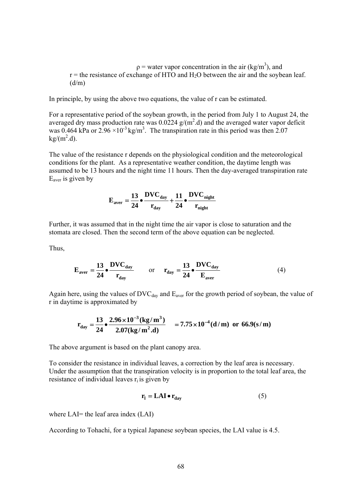$p =$  water vapor concentration in the air (kg/m<sup>3</sup>), and  $r =$  the resistance of exchange of HTO and H<sub>2</sub>O between the air and the soybean leaf.  $(d/m)$ 

In principle, by using the above two equations, the value of r can be estimated.

For a representative period of the soybean growth, in the period from July 1 to August 24, the averaged dry mass production rate was  $0.0224$  g/(m<sup>2</sup>.d) and the averaged water vapor deficit was 0.464 kPa or  $2.96 \times 10^{-3}$  kg/m<sup>3</sup>. The transpiration rate in this period was then 2.07  $kg/(m^2.d)$ .

The value of the resistance r depends on the physiological condition and the meteorological conditions for the plant. As a representative weather condition, the daytime length was assumed to be 13 hours and the night time 11 hours. Then the day-averaged transpiration rate  $E<sub>aver</sub>$  is given by

$$
E_{\text{aver}} = \frac{13}{24} \cdot \frac{DVC_{\text{day}}}{r_{\text{day}}} + \frac{11}{24} \cdot \frac{DVC_{\text{night}}}{r_{\text{night}}}
$$

Further, it was assumed that in the night time the air vapor is close to saturation and the stomata are closed. Then the second term of the above equation can be neglected.

Thus,

$$
\mathbf{E}_{\text{aver}} = \frac{13}{24} \bullet \frac{\text{DVC}_{\text{day}}}{\mathbf{r}_{\text{day}}} \qquad \text{or} \qquad \mathbf{r}_{\text{day}} = \frac{13}{24} \bullet \frac{\text{DVC}_{\text{day}}}{\mathbf{E}_{\text{aver}}} \tag{4}
$$

Again here, using the values of  $\text{DVC}_{\text{day}}$  and  $\text{E}_{\text{aver}}$  for the growth period of soybean, the value of r in daytime is approximated by

$$
r_{day} = \frac{13}{24} \cdot \frac{2.96 \times 10^{-3} (kg/m^3)}{2.07 (kg/m^2.d)} = 7.75 \times 10^{-4} (d/m) \text{ or } 66.9 (s/m)
$$

The above argument is based on the plant canopy area.

To consider the resistance in individual leaves, a correction by the leaf area is necessary. Under the assumption that the transpiration velocity is in proportion to the total leaf area, the resistance of individual leaves  $r_i$  is given by

$$
\mathbf{r}_{\mathbf{l}} = \mathbf{L}\mathbf{A}\mathbf{I} \bullet \mathbf{r}_{\text{day}} \tag{5}
$$

where LAI= the leaf area index (LAI)

According to Tohachi, for a typical Japanese soybean species, the LAI value is 4.5.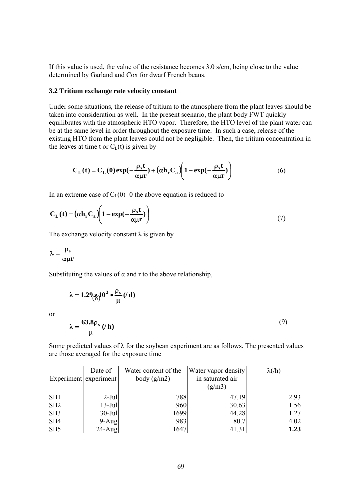If this value is used, the value of the resistance becomes 3.0 s/cm, being close to the value determined by Garland and Cox for dwarf French beans.

#### **3.2 Tritium exchange rate velocity constant**

Under some situations, the release of tritium to the atmosphere from the plant leaves should be taken into consideration as well. In the present scenario, the plant body FWT quickly equilibrates with the atmospheric HTO vapor. Therefore, the HTO level of the plant water can be at the same level in order throughout the exposure time. In such a case, release of the existing HTO from the plant leaves could not be negligible. Then, the tritium concentration in the leaves at time t or  $C_{\text{L}}(t)$  is given by

$$
C_{L}(t) = C_{L}(0) \exp(-\frac{\rho_{s}t}{\alpha\mu r}) + (\alpha h_{r}C_{a})\left(1 - \exp(-\frac{\rho_{s}t}{\alpha\mu r})\right)
$$
(6)

In an extreme case of  $C_{L}(0)=0$  the above equation is reduced to

$$
C_{L}(t) = (\alpha h_{r} C_{a}) \left( 1 - \exp(-\frac{\rho_{s} t}{\alpha \mu r}) \right)
$$
\n(7)

The exchange velocity constant  $\lambda$  is given by

$$
\lambda = \frac{\rho_s}{\alpha \mu r}
$$

or

Substituting the values of  $\alpha$  and r to the above relationship,

$$
\lambda = 1.29 \text{m/s}^{10^{3} \cdot \frac{\rho_{\text{s}}}{\mu}}(l \text{ d})
$$
\nor

\n
$$
\lambda = \frac{63.8 \rho_{\text{s}}}{\mu}(l \text{ h})
$$
\n(9)

Some predicted values of  $\lambda$  for the soybean experiment are as follows. The presented values are those averaged for the exposure time

|                       | Date of   | Water content of the | Water vapor density        | $\lambda$ (/h) |
|-----------------------|-----------|----------------------|----------------------------|----------------|
| Experiment experiment |           | body $(g/m2)$        | in saturated air<br>(g/m3) |                |
| SB1                   | $2-Jul$   | 788                  | 47.19                      | 2.93           |
|                       |           |                      |                            |                |
| SB <sub>2</sub>       | $13$ -Jul | 960                  | 30.63                      | 1.56           |
| SB <sub>3</sub>       | $30$ -Jul | 1699                 | 44.28                      | 1.27           |
| SB <sub>4</sub>       | $9-Aug$   | 983                  | 80.7                       | 4.02           |
| SB <sub>5</sub>       | $24$ -Aug | 1647                 | 41.31                      | 1.23           |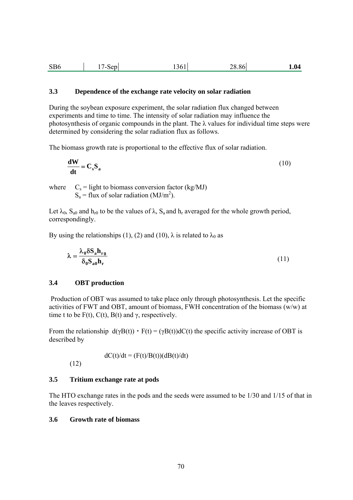| SB <sub>6</sub> | Sep<br>$\prime$ $-$ | .3611 | 28.86 | 1.04 |
|-----------------|---------------------|-------|-------|------|
|-----------------|---------------------|-------|-------|------|

### **3.3 Dependence of the exchange rate velocity on solar radiation**

During the soybean exposure experiment, the solar radiation flux changed between experiments and time to time. The intensity of solar radiation may influence the photosynthesis of organic compounds in the plant. The  $\lambda$  values for individual time steps were determined by considering the solar radiation flux as follows.

The biomass growth rate is proportional to the effective flux of solar radiation.

$$
\frac{\mathbf{d} \mathbf{W}}{\mathbf{d} \mathbf{t}} = \mathbf{C}_s \mathbf{S}_a \tag{10}
$$

where  $C_s =$  light to biomass conversion factor (kg/MJ)  $S_a$  = flux of solar radiation (MJ/m<sup>2</sup>).

Let  $\lambda_0$ ,  $S_{a0}$  and  $h_{r0}$  to be the values of  $\lambda$ ,  $S_a$  and  $h_r$  averaged for the whole growth period, correspondingly.

By using the relationships (1), (2) and (10),  $\lambda$  is related to  $\lambda_0$  as

$$
\lambda = \frac{\lambda_0 \delta S_a h_{r0}}{\delta_0 S_{a0} h_r} \tag{11}
$$

### **3.4 OBT production**

 Production of OBT was assumed to take place only through photosynthesis. Let the specific activities of FWT and OBT, amount of biomass, FWH concentration of the biomass (w/w) at time t to be  $F(t)$ ,  $C(t)$ ,  $B(t)$  and  $\gamma$ , respectively.

From the relationship  $d(\gamma B(t)) \cdot F(t) = (\gamma B(t)) dC(t)$  the specific activity increase of OBT is described by

 $dC(t)/dt = (F(t)/B(t))(dB(t)/dt)$ 

(12)

## **3.5 Tritium exchange rate at pods**

The HTO exchange rates in the pods and the seeds were assumed to be 1/30 and 1/15 of that in the leaves respectively.

### **3.6 Growth rate of biomass**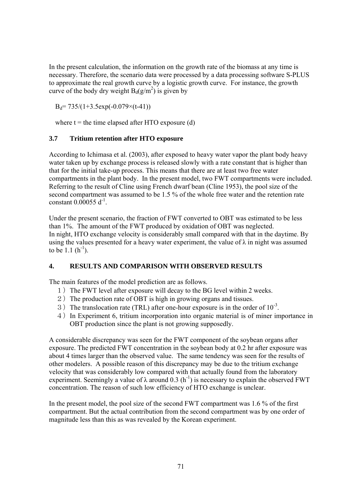In the present calculation, the information on the growth rate of the biomass at any time is necessary. Therefore, the scenario data were processed by a data processing software S-PLUS to approximate the real growth curve by a logistic growth curve. For instance, the growth curve of the body dry weight  $B_d(g/m^2)$  is given by

 $B_d$ = 735/(1+3.5exp(-0.079×(t-41))

where  $t =$  the time elapsed after HTO exposure (d)

## **3.7 Tritium retention after HTO exposure**

According to Ichimasa et al. (2003), after exposed to heavy water vapor the plant body heavy water taken up by exchange process is released slowly with a rate constant that is higher than that for the initial take-up process. This means that there are at least two free water compartments in the plant body. In the present model, two FWT compartments were included. Referring to the result of Cline using French dwarf bean (Cline 1953), the pool size of the second compartment was assumed to be 1.5 % of the whole free water and the retention rate constant 0.00055  $d^{-1}$ .

Under the present scenario, the fraction of FWT converted to OBT was estimated to be less than 1%. The amount of the FWT produced by oxidation of OBT was neglected. In night, HTO exchange velocity is considerably small compared with that in the daytime. By using the values presented for a heavy water experiment, the value of  $\lambda$  in night was assumed to be  $1.1(h^{-1})$ .

## **4. RESULTS AND COMPARISON WITH OBSERVED RESULTS**

The main features of the model prediction are as follows.

- 1) The FWT level after exposure will decay to the BG level within 2 weeks.
- 2) The production rate of OBT is high in growing organs and tissues.
- 3) The translocation rate (TRL) after one-hour exposure is in the order of  $10^{-3}$ .
- 4)In Experiment 6, tritium incorporation into organic material is of miner importance in OBT production since the plant is not growing supposedly.

A considerable discrepancy was seen for the FWT component of the soybean organs after exposure. The predicted FWT concentration in the soybean body at 0.2 hr after exposure was about 4 times larger than the observed value. The same tendency was seen for the results of other modelers. A possible reason of this discrepancy may be due to the tritium exchange velocity that was considerably low compared with that actually found from the laboratory experiment. Seemingly a value of  $\lambda$  around 0.3 (h<sup>-1</sup>) is necessary to explain the observed FWT concentration. The reason of such low efficiency of HTO exchange is unclear.

In the present model, the pool size of the second FWT compartment was 1.6 % of the first compartment. But the actual contribution from the second compartment was by one order of magnitude less than this as was revealed by the Korean experiment.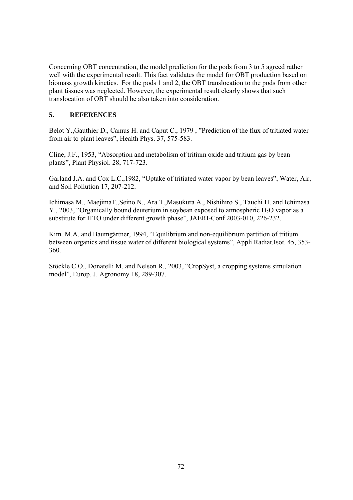Concerning OBT concentration, the model prediction for the pods from 3 to 5 agreed rather well with the experimental result. This fact validates the model for OBT production based on biomass growth kinetics. For the pods 1 and 2, the OBT translocation to the pods from other plant tissues was neglected. However, the experimental result clearly shows that such translocation of OBT should be also taken into consideration.

## **5. REFERENCES**

Belot Y.,Gauthier D., Camus H. and Caput C., 1979 , "Prediction of the flux of tritiated water from air to plant leaves", Health Phys. 37, 575-583.

Cline, J.F., 1953, "Absorption and metabolism of tritium oxide and tritium gas by bean plants", Plant Physiol. 28, 717-723.

Garland J.A. and Cox L.C.,1982, "Uptake of tritiated water vapor by bean leaves", Water, Air, and Soil Pollution 17, 207-212.

Ichimasa M., MaejimaT.,Seino N., Ara T.,Masukura A., Nishihiro S., Tauchi H. and Ichimasa Y., 2003, "Organically bound deuterium in soybean exposed to atmospheric  $D_2O$  vapor as a substitute for HTO under different growth phase", JAERI-Conf 2003-010, 226-232.

Kim. M.A. and Baumgärtner, 1994, "Equilibrium and non-equilibrium partition of tritium between organics and tissue water of different biological systems", Appli.Radiat.Isot. 45, 353- 360.

Stöckle C.O., Donatelli M. and Nelson R., 2003, "CropSyst, a cropping systems simulation model", Europ. J. Agronomy 18, 289-307.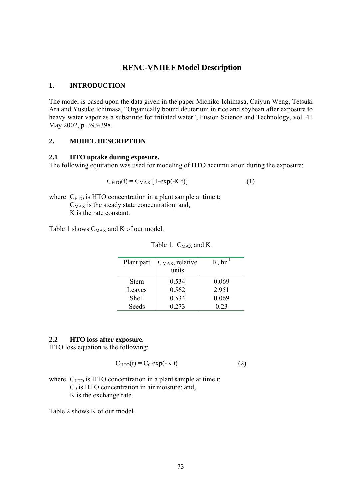### **RFNC-VNIIEF Model Description**

#### **1. INTRODUCTION**

The model is based upon the data given in the paper Michiko Ichimasa, Caiyun Weng, Tetsuki Ara and Yusuke Ichimasa, "Organically bound deuterium in rice and soybean after exposure to heavy water vapor as a substitute for tritiated water", Fusion Science and Technology, vol. 41 May 2002, p. 393-398.

### **2. MODEL DESCRIPTION**

#### **2.1 HTO uptake during exposure.**

The following equitation was used for modeling of HTO accumulation during the exposure:

$$
C_{\text{HTO}}(t) = C_{\text{MAX}} \cdot [1 - \exp(-K \cdot t)] \tag{1}
$$

where  $C_{\text{HTO}}$  is HTO concentration in a plant sample at time t;  $C_{MAX}$  is the steady state concentration; and, K is the rate constant.

Table 1 shows C<sub>MAX</sub> and K of our model.

| Plant part | $C_{MAX}$ , relative<br>units | $K, hr^{-1}$ |
|------------|-------------------------------|--------------|
| Stem       | 0.534                         | 0.069        |
| Leaves     | 0.562                         | 2.951        |
| Shell      | 0.534                         | 0.069        |
| Seeds      | 0.273                         | 0 23         |

Table 1.  $C_{MAX}$  and K

#### **2.2 HTO loss after exposure.**

HTO loss equation is the following:

$$
C_{\text{HTO}}(t) = C_0 \cdot \exp(-K \cdot t) \tag{2}
$$

where  $C_{\text{HTO}}$  is HTO concentration in a plant sample at time t;  $C_0$  is HTO concentration in air moisture; and, K is the exchange rate.

Table 2 shows K of our model.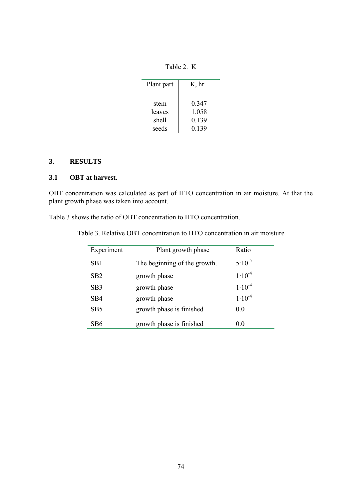Table 2. K

| Plant part | $K, hr^{-1}$ |
|------------|--------------|
| stem       | 0 347        |
| leaves     | 1.058        |
| shell      | 0.139        |
| seeds      | 0.139        |

# **3. RESULTS**

### **3.1 OBT at harvest.**

OBT concentration was calculated as part of HTO concentration in air moisture. At that the plant growth phase was taken into account.

Table 3 shows the ratio of OBT concentration to HTO concentration.

| Experiment      | Plant growth phase           | Ratio       |
|-----------------|------------------------------|-------------|
| SB <sub>1</sub> | The beginning of the growth. | $5.10^{-5}$ |
| SB2             | growth phase                 | $1.10^{-4}$ |
| SB <sub>3</sub> | growth phase                 | $1.10^{-4}$ |
| SB4             | growth phase                 | $1.10^{-4}$ |
| SB <sub>5</sub> | growth phase is finished     | 0.0         |
| SB6             | growth phase is finished     | 0.0         |

Table 3. Relative OBT concentration to HTO concentration in air moisture